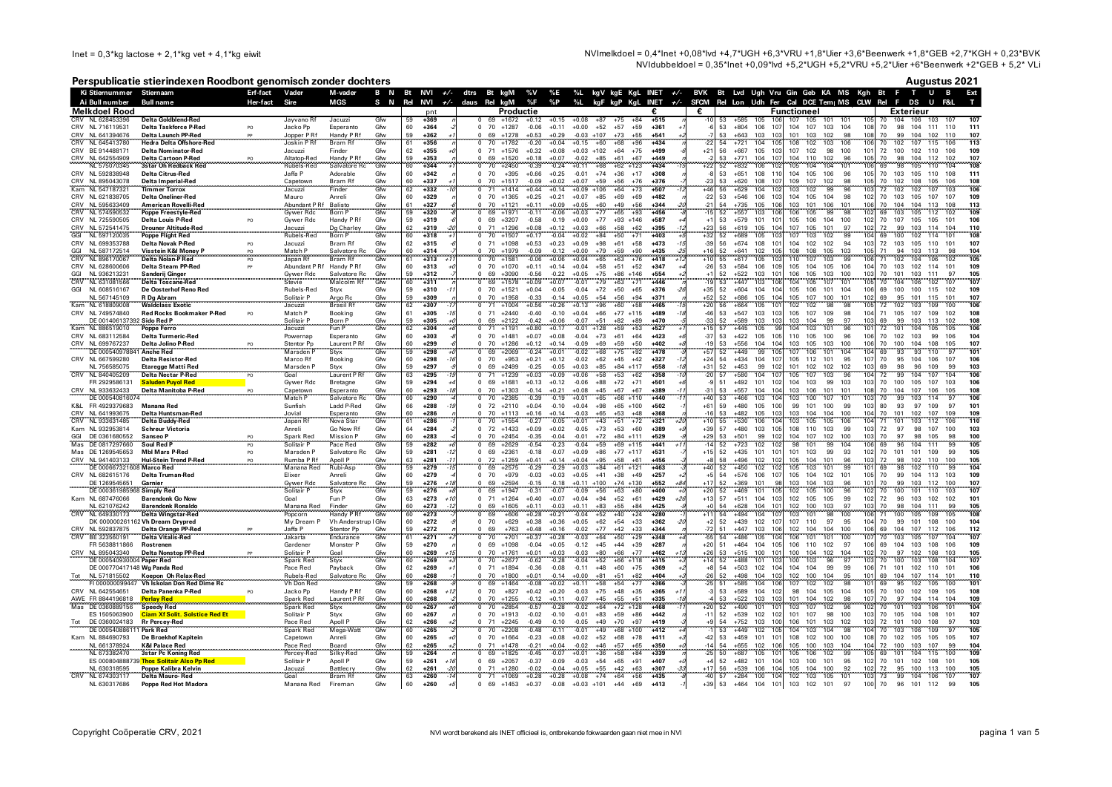NVImelkdoel = 0,4\*Inet +0,08\*lvd +4,7\*UGH +6,3\*VRU +1,8\*Uier +3,6\*Beenwerk +1,8\*GEB +2,7\*KGH + 0,23\*BVK NVIdubbeldoel =  $0.35$ \*Inet +0.09\*Ivd +5.2\*UGH +5.2\*VRU +5.2\*Uler +6\*Beenwerk +2\*GEB + 5.2\* VLi

#### Perspublicatie stierindexen Roodbont genomisch zonder dochters

|  | Augustus 2021 |  |  |
|--|---------------|--|--|
|--|---------------|--|--|

|            | Ki Stiernummer Stiernaam                     |                                                                | Erf-fact       | Vader                              | M-vader                           | B N        |          | Bt NVI +/- dtrs Bt kgM |                                  |                             |                    |                    |                         |                                  |                 |                  |                | %V %E %L kgV kgE KgL INET +/- BVK Bt Lvd Ugh Vru Gin Geb KA MS Kgh Bt F T U B                                                                                      | Ext                                                  |
|------------|----------------------------------------------|----------------------------------------------------------------|----------------|------------------------------------|-----------------------------------|------------|----------|------------------------|----------------------------------|-----------------------------|--------------------|--------------------|-------------------------|----------------------------------|-----------------|------------------|----------------|--------------------------------------------------------------------------------------------------------------------------------------------------------------------|------------------------------------------------------|
|            | Ai Bull number                               | Bull name                                                      | Her-fact       | Sire                               | MGS                               | S N        |          | Rel NVI +/- daus Rel   |                                  | kgM                         | %F                 | %P                 | %L                      |                                  |                 |                  |                | kgF kgP KgL INET +/- SFCM Rel Lon Udh Fer Cal DCE Tem  MS CLW Rel F DS                                                                                             | <b>U</b>                                             |
|            | <b>Melkdoel Rood</b><br>CRV NL 628453396     | <b>Delta Goldblend-Red</b>                                     |                | Javvano Rf                         | Jacuzzi                           | Gfw        | 59       | pnt<br>$+369$          | $^{\circ}$                       | Productie<br>69 +1672 +0.12 |                    | $+0.15$            | $+0.08$                 | $+75$<br>+87                     | $+84$           | €.<br>$+515$     | €              | <b>Functioneel</b><br>Exterieur<br>107 105 101<br>53<br>$+585$<br>10i<br>105<br>101<br>105<br>70                                                                   | 104 106 103<br>107                                   |
|            | CRV NL 716119531                             | Delta Taskforce P-Red                                          | PO.            | Jacko Pp                           | Esperanto                         | Gfw        | 60       | $+364$                 | 70                               | $+1287$                     | $-0.06$            | $+0.11$            | $+0.00$                 | $+52$<br>$+57$                   | $+59$           | $+361$           |                | 53<br>$+804$<br>106<br>107<br>104<br>107<br>103<br>104<br>10 <sub>5</sub><br>70<br>98                                                                              | 104 111<br>110<br>111                                |
|            | CRV NL 641394676                             | Delta Launch PP-Red                                            |                | Jopper P Rf                        | Handy P Rf                        | Gfw        | 59       | $+362$                 | 69                               | $+1278$                     | $+0.53$            | $+0.29$            | $-0.03 + 107$           | $+73$                            | $+55$           | $+541$           |                | $+643$<br>101<br>102<br>108<br>53<br>103<br>10<br>103<br>98<br>70<br>99                                                                                            | 107<br>104<br>102<br>110                             |
|            | CRV NL 645413780                             | <b>Hedra Delta Offshore-Red</b>                                |                | Joskin PRf                         | <b>Bram Rf</b>                    | Gfw        | 61       | $+356$                 | 70                               | $+1782$                     | $-0.20$            | $+0.04$            | $+0.15$                 | $+60$<br>$+68$                   | $+96$           | $+434$           |                | 106<br>$+721$<br>103<br>106<br>104<br>10!<br>108<br>102<br>70<br>102<br>54                                                                                         | 113<br>107<br>115<br>106                             |
|            | CRV BE 914488171<br>CRV NL 642554909         | <b>Delta Nominator-Red</b>                                     |                | Jacuzzi                            | Finder                            | Gfw<br>Gfw | 62<br>59 | $+355$<br>$+353$       | $\Omega$<br>71<br>69<br>$\Omega$ | $+1576$<br>$+1520$          | $+0.32$<br>$+0.18$ | $+0.08$<br>$+0.07$ | $+0.03 +102$            | $+64$<br>$+61$<br>$+85$          | $+75$<br>$+67$  | $+499$<br>$+449$ | $+21$          | 107<br>72 100<br>56<br>$+667$<br>105<br>103<br>102<br>98<br>100<br>101<br>110<br>$+771$<br>10<br>104<br>102<br>96<br>10<br>70<br>98<br>104<br>53                   | 109<br>102<br>110<br>106<br>107<br>104<br>112<br>102 |
|            | NL 575070345                                 | Delta Cartoon P-Red<br><b>3star Oh Redback Red</b>             |                | Altatop-Red<br>Rubels-Red          | Handy P Rf<br>Salvatore Rc        | Gfw        | 60       | $+344$                 | 70                               | $+2450$                     | $-0.39$            | $-0.24$            | $-0.02$<br>$+0.11$      | $+68$                            | $+62$ +123      | $+434$           |                | 105<br>104<br>52<br>$+832$<br>106<br>10<br>104<br>101<br>10<br>98<br>69                                                                                            | 108<br>105<br>110<br>104                             |
|            | CRV NL 592838948                             | Delta Citrus-Red                                               |                | Jaffa P                            | Adorable                          | Gfw        | 60       | $+342$                 | 70<br>$\Omega$                   | $+395$                      | $+0.66$            | $+0.25$            | $-0.01$                 | $+74$<br>$+36$                   | $+17$           | $+308$           |                | 105<br>106<br>70<br>53<br>$+651$<br>108<br>11<br>104<br>96<br>105<br>103                                                                                           | 111<br>105<br>110<br>108                             |
|            | CRV NL 895043078                             | Delta Imperial-Red                                             |                | Capetown                           | Bram Rf                           | Gfw        | 60       | +337                   | 70                               | $+1517$                     | $-0.09$            | $+0.02$            | $+0.07$                 | $+59$<br>$+56$                   | $+76$           | $+376$           |                | $+620$<br>108<br>109<br>107<br>102<br>98<br>10 <sub>5</sub><br>70<br>102<br>53<br>10                                                                               | 108<br>105<br>106<br>108                             |
| Kam        | NL 547187321                                 | <b>Timmer Torrox</b>                                           |                | Jacuzzi                            | Finder                            | Gfw        | 62       | +332                   |                                  | $+1414$                     | $+0.44$            | $+0.14$            | $+0.09$                 | $+106$<br>$+64$                  | $+73$           | +507             |                | 103<br>99<br>$+629$<br>104<br>10<br>102<br>96<br>10<br>72<br>102                                                                                                   | 102<br>106<br>107<br>103                             |
|            | CRV NL 621838705<br>CRV NL 595633409         | Delta Oneliner-Red<br><b>American Royelli-Red</b>              |                | Mauro<br>Abundant P Rf Balisto     | Anreli                            | Gfw<br>Gfw | 60<br>61 | $+329$<br>$+327$       | $\Omega$<br>- 70<br>70           | $+1365$<br>$+1121$          | $+0.25$<br>$+0.11$ | $+0.21$<br>$+0.09$ | $+0.07$<br>$+0.05$      | $+69$<br>$+85$<br>$+60$<br>$+49$ | $+69$<br>$+56$  | $+482$<br>$+344$ | $-22$<br>$-21$ | $+546$<br>104<br>105<br>104<br>98<br>70<br>53<br>106<br>10<br>102<br>103<br>106<br>70<br>$+735$<br>105<br>106<br>103<br>101<br>101<br>106<br>104<br>FA             | 107<br>107<br>109<br>105<br>104<br>113<br>108<br>113 |
|            | CRV NL 574590532                             | Poppe Freestyle-Red                                            |                | <b>Gywer Rdc</b>                   | Born P                            | Gfw        | 59       | $+320$                 | 69                               | $+1971$                     | $-0.11$            | $-0.06$            | $+0.03$                 | $+65$<br>$+77$                   | $+93$           | $+456$           |                | $+557$<br>103<br>106<br>105<br>99<br>98<br>102<br>52<br>106<br>69<br>103                                                                                           | 105<br>109<br>112<br>102                             |
|            | CRV NL 725590505                             | <b>Delta Louis P-Red</b>                                       | PO             | Gywer Rdc                          | Handy P Rf                        | Gfw        | 59       | $+319$                 | 69<br>$\Omega$                   | $+3207$                     | $-0.58$            | $-0.19$            | $+0.00$                 | $+77$                            | $+93 +146$      | +587             |                | 53<br>$+579$<br>101<br>10<br>105<br>106<br>104<br>100<br>102<br>70<br>107                                                                                          | 105<br>105<br>101<br>106                             |
|            | CRV NL 572541475<br>GGI NL 597120035         | <b>Drouner Altitude-Red</b>                                    |                | Jacuzzi<br>Rubels-Red              | Dg Charley<br>Born P              | Gfw<br>Gfw | 62       | +319                   | 71                               | $+1296$                     | $+0.08$            | $+0.12$            | $+0.03$                 | $+66$<br>$+58$                   | $+62$           | $+395$           | $+23$<br>$+32$ | 105<br>107<br>101<br>56<br>$+619$<br>10<br>105<br>97<br>102<br>72<br>99                                                                                            | 103<br>114<br>104<br>110                             |
|            | NL 597120035                                 | Poppe Flight Red                                               |                |                                    |                                   |            | 60       | $+318$                 | 70                               | $+1507$                     | $+0.17$            | $-0.04$            | $+0.02$                 | $+84$<br>$+50$                   | $+71$           | $+403$           |                | 99<br>$+689$<br>107<br>103<br>102<br>10<br>100<br>105<br>69<br>52<br>10                                                                                            | 108<br>102<br>114<br>101                             |
| GGI        | CRV NL 699353788<br>NL 587172514             | Delta Novak P-Red<br>Visstein K&I Monev P                      | PO             | Jacuzzi<br>Match P                 | Bram Rf<br>Salvatore Ro           | Gfw<br>Gfw | 62<br>60 | $+315$<br>$+314$       | $\Omega$<br>71<br>70<br>$\Omega$ | $+1098$<br>$+1979$          | $+0.53$<br>0.09    | $+0.23$<br>$-0.12$ | $+0.09$<br>$+0.00$      | $+98$<br>$+61$<br>$+79$<br>+59   | $+58$<br>$+90$  | $+473$<br>$+435$ | $-39$<br>$+16$ | 102<br>$+674$ 108<br>104<br>102<br>94<br>103<br>72<br>103<br>56<br>10'<br>$+641$<br>10<br>108<br>108<br>105<br>103<br>94<br>52<br>102<br>10 <sup>5</sup><br>71     | 107<br>105<br>110<br>101<br>103<br>113<br>98<br>104  |
| CRV        | NL 896170067                                 | <b>Delta Nolan-P Red</b>                                       | PO<br>PO       | Japan Rf                           | Bram Rf                           | Gfw        | 61       | $+313$                 | 70                               | $+1581$                     | -0.06              | $+0.06$            | $+0.04$                 | $+63$<br>+65                     | $+76$           | $+418$           | $+10$          | $+617$<br>105<br>110<br>107<br>103<br>99<br>10<br>55<br>10<br>71<br>102                                                                                            | 105<br>104<br>106<br>102                             |
|            | CRV NL 628600606                             | Delta Steam PP-Red                                             | pp             | Abundant P Rf                      | Handy P Rf                        | Gfw        | 60       | $+313$                 | 70                               | $+1070$                     | $+0.11$            | $+0.14$            | $+0.04$                 | $+58$<br>$+51$                   | $+52$           | $+347$           | $-26$          | 105<br>70<br>53<br>$+584$<br>106<br>10<br>104<br>105<br>106<br>104<br>103                                                                                          | 102<br>109<br>114<br>101                             |
|            | GGI NL 936213231                             | Sanderij Ginger                                                |                | Gywer Rdc<br>Stevie                | Salvatore Rc                      | Gfw        | 59       | $+312$                 | 69                               | $+3090$                     | $-0.56$            | $-0.22$            | $+0.05$                 | $+75$<br>$+86$                   | $+146$          | $+554$           |                | 106<br>105<br>103<br>100<br>70<br>52<br>$+522$<br>103<br>101<br>103<br>101                                                                                         | 111<br>97<br>103<br>105                              |
| CRV        | NL 631081566                                 | <b>Delta Toscane-Red</b>                                       |                |                                    | Malcolm Rf                        | Gfw        | 60       | +311                   | 69                               | $+1578$                     | $+0.09$            | $+0.07$            | $-0.01$                 | $+79$<br>$+63$                   | $+71$           | +446             |                | 53<br>$+447$<br>103<br>104<br>107<br>105 70<br>105<br>101<br>10<br>104                                                                                             | 107<br>106<br>102                                    |
| GGI        | NL 608516167<br>NL 567145109                 | De Oosterhof Reno Red<br><b>R</b> Do Abram                     |                | Rubels-Red<br>Solitair P           | Styx<br>Argo Ro                   | Gfw<br>Gfw | 59<br>59 | $+310$<br>$+309$       | 70<br>$\Omega$<br>70<br>$\Omega$ | $+1521$<br>$+1958$          | $+0.04$<br>$-0.33$ | $-0.05$<br>$-0.14$ | $-0.04$<br>$+0.05$      | $+72$<br>$+50$<br>$+54$<br>$+56$ | $+65$<br>$+94$  | $+376$<br>$+371$ | $+35$<br>+52   | 52<br>$+604$<br>105<br>106<br>101<br>104<br>69<br>100<br>104<br>10<br>10f<br>52<br>$+686$<br>105<br>10 <sub>4</sub><br>105<br>107<br>100<br>101<br>102<br>69<br>95 | 100<br>115<br>102<br>109<br>101<br>115<br>101<br>107 |
|            | Kam NL 618809008                             | <b>Waldclass Exotic</b>                                        |                | Jacuzzi                            | <b>Brasil Rf</b>                  | Gfw        | 62       | +307                   | 71                               | $+1004$                     | $+0.56$            | $+0.26$            | $+0.13$                 | $+60$<br>$+96$                   | $+58$           | $+465$           | $+20$          | 102<br>98<br>56<br>$+664$<br>105<br>10<br>102<br>98<br>105<br>72<br>102                                                                                            | 106<br>103<br>109<br>100                             |
|            | CRV NL 749574840                             | <b>Red Rocks Bookmaker P-Red</b>                               | PO             | Match P                            | Booking                           | Gfw        | 61       | $+305$                 | 71<br>$\Omega$                   | $+2440$                     | $-0.40$            | $-0.10$            | $+0.04$                 | $+66$                            | $+77$ $+115$    | $+489$           | $-46$          | 53<br>$+547$<br>103<br>105<br>107<br>109<br>98<br>104<br>71<br>105<br>103                                                                                          | 107<br>109<br>102<br>108                             |
|            | DE 001406137392 Sido Red P                   |                                                                |                | Solitair P                         | Born P                            | Gfw        | 59       | +305                   | 69<br>$\Omega$                   | $+2122$                     | $-0.42$            | $+0.06$            | $-0.07$                 | $+51$<br>$+82$                   | $+89$           | $+470$           | $-33$          | 103<br>52<br>$+589$<br>103<br>103<br>104<br>99<br>97<br>103<br>69<br>99                                                                                            | 108<br>103<br>113<br>102                             |
|            | NL 886519010                                 | Poppe Ferro                                                    |                | Jacuzzi                            | Fun P                             | Gfw        | 62       | $+304$                 | 71                               | $+1191$                     | $+0.80$            | $+0.17$            | $-0.01$                 | $+59$<br>$+128$                  | $+53$           | $+527$           | $+15$          | 103<br>$+445$<br>104<br>101<br>96<br>72<br>57<br>105<br><b>gc</b><br>$10^{1}$<br>101                                                                               | 106<br>104<br>105<br>105                             |
|            | CRV NL 683112584                             | Delta Turmeric-Red                                             |                | Powernan                           | Esperanto                         | Gfw        | 60       | $+303$                 | $\Omega$<br>70                   | $+1481$                     | $+0.07$            | $+0.08$            | $-0.04$                 | $+73$<br>$+61$                   | $+64$           | $+423$           | $-37$<br>$-19$ | $+422$<br>110<br>100<br>96<br>70<br>53<br>105<br>105<br>105<br>106<br>102 103<br>10<br>10                                                                          | 104<br>99<br>106                                     |
|            | CRV NL 699767237<br>DE 00054097884           | Delta Jolino P-Red<br><b>Anche Red</b>                         |                | Stentor Pn<br>Marsden <sup>F</sup> | Laurent P Rf<br>Styx              | Gfw<br>Gfw | 60<br>59 | $+299$<br>$+298$       | 70<br>69                         | $+1286$<br>$+2069$          | $+0.12$<br>$-0.24$ | $+0.14$<br>$+0.01$ | $-0.09$<br>$-0.02$      | $+69$<br>$+59$<br>$+75$<br>$+68$ | $+50$<br>$+92$  | $+402$<br>$+478$ |                | $+556$<br>103<br>105<br>103<br>100<br>70<br>100<br>53<br>104<br>107<br>101<br>104<br>93<br>$+449$<br>99<br>10<br>106<br>10 <sub>4</sub><br>69<br>52                | 104<br>108<br>105<br>107<br>93<br>97<br>101<br>110   |
| CRV        | NL 667599280                                 | <b>Delta Resistor-Red</b>                                      |                | Marco Rf                           | Booking                           | Gfw        | 60       | $+298$                 | 70                               | $+953$                      | $+0.21$            | $+0.12$            | $-0.02$                 | $+62$<br>$+45$                   | $+42$           | $+327$           | $+24$          | 54<br>$+434$<br>104<br>105<br>112<br>101<br>95<br>70<br>95<br>10<br>10                                                                                             | 104<br>106<br>107<br>106                             |
|            | NL 756585075                                 | <b>Etaregge Matti Red</b>                                      |                | Marsden P                          | Styx                              | Gfw        | 59       | $+297$                 | 69<br>$\Omega$                   | $+2499$                     | $-0.25$            | $-0.05$            | $+0.03$                 | $+85$<br>$+84$                   | $+117$          | $+558$           | $+31$          | 99<br>101<br>102<br>52<br>$+453$<br>10<br>102<br>102<br>103<br>69<br>98                                                                                            | 109<br>99<br>103<br>96                               |
| CRV        | NL 840405209                                 | <b>Delta Nectar P-Red</b>                                      | PO             | Goal                               | Laurent PR                        | Gfw        | 63       | $+295$                 | 71<br>$\Omega$                   | $+1239$                     | $+0.03$            | $+0.09$            | $+0.06$                 | $+58$<br>$+53$                   | $+62$           | $+358$           | $-20$          | 104<br>105<br>72<br>57<br>$+580$<br>107<br>103<br>96<br>104<br>99<br>10                                                                                            | 107<br>104<br>106<br>104                             |
|            | FR 2929586131                                | <b>Saluden Puvol Red</b>                                       |                | Gywer Rdc                          | Bretagne                          | Gfw        | 59       | $+294$                 | 69<br>$\Omega$<br>70             | $+1681$                     | $+0.13$            | $+0.12$<br>$+0.21$ | $-0.06$                 | $+88$<br>$+72$<br>$+67$          | $+71$<br>$+67$  | $+501$           |                | 70<br>$+492$<br>101<br>102<br>104<br>103<br>99<br>100<br>51<br>103<br>103<br>53<br>$+557$<br>10 <sub>4</sub><br>103<br>106<br>101<br>101<br>108<br>70              | 106<br>105<br>107<br>103<br>107                      |
|            | NL 933632433<br>DE 000540816074              | Delta Manitoba P-Red                                           |                | Capetown<br>Match P                | Esperanto<br>Salvatore Rc         | Gfw<br>Gfw | 60<br>60 | $+293$<br>$+290$       | 70                               | $+1303$<br>$+2385$          | $-0.14$<br>$-0.39$ | $-0.19$            | $+0.08$<br>$+0.01$      | $+45$<br>$+65$                   | $+66$ +110      | +389<br>$+440$   | $-31$<br>$+40$ | 104<br>104<br>53<br>$+466$<br>103<br>103<br>100<br>107<br>10 <sup>2</sup><br>99<br>101<br>70                                                                       | 106<br>105<br>108<br>106<br>103<br>114<br>97         |
|            | K&L FR 4929379683                            | Manana Red                                                     |                | Sunfish                            | Ladd P-Red                        | Gfw        | 66       | $+288$                 | 72<br>$\Omega$                   | $+2110$                     | $+0.04$            | $-0.10$            | $+0.04$                 | $+98$                            | $+65$ +100      | $+502$           | $+61$          | 59<br>$+480$<br>105<br>99<br>101<br>100<br>99<br>103<br>80<br>93<br>100                                                                                            | 97<br>109<br>97<br>101                               |
|            | CRV NL 641993675                             | Delta Huntsman-Red                                             |                | Jovial                             | Esperanto<br>Nova Star            | Gfw        | 60       | $+286$                 | 70<br>$\Omega$                   | $+1113$                     | $+0.16$            | $+0.14$            | $-0.03$                 | $+65$<br>$+53$                   | $+48$           | $+368$           | $-16$          | $+482$<br>104<br>105<br>10 <sup>′</sup><br>103<br>104<br>100<br>104<br>70<br>101<br>53                                                                             | 102<br>107<br>109<br>109                             |
| <b>CRV</b> | NL 933631485                                 | <b>Delta Buddy-Red</b>                                         |                | Japan Rf                           |                                   | Gfw        | 61       | $+286$                 | 70                               | $+1554$                     | $-0.27$            | $-0.05$            | $+0.01$                 | $+43$<br>$+51$                   | $+72$           | $+321$           | $+1$           | $+530$<br>106<br>106<br>103<br>105<br>105<br>10<br>10<br>71<br>101<br>55                                                                                           | 110<br>112<br>106<br>103                             |
|            | Kam NL 932953814                             | <b>Schreur Victoria</b>                                        |                | Anreli                             | Go Now Rf                         | Gfw        | 64<br>60 | $+284$<br>$+283$       | $\Omega$                         | 72 +1433<br>$+2454$         | $+0.09$            | $+0.02$            | $-0.05$                 | $+73$<br>$+53$<br>$+84$          | $+60$<br>$+111$ | $+389$<br>$+529$ | $+39$          | 57<br>$+480$<br>103<br>105<br>108<br>110<br>103<br>99<br>103<br>72<br>97<br>$+501$<br>104<br>107<br>53<br>101<br>10<br>97                                          | 98<br>107<br>100<br>103<br>98<br>105<br>98           |
| Mas        | DE 0361680552<br>DE 0817297660               | Sanseo P<br>Soul Red F                                         | PO             | Spark Red<br>Solitair P            | Mission P<br>Pace Red             | Gfw        | 59       | $+282$                 | 70<br>69                         | $+2629$                     | $-0.35$<br>$-0.54$ | $-0.04$<br>$-0.23$ | $-0.01$<br>$-0.04$      | $+72$<br>$+59$<br>$+69$          | $+115$          | $+441$           | $+29$          | 102<br>99<br>100<br>70<br>99<br>104<br>$+723$<br>102                                                                                                               | 100<br>104<br>105<br>111                             |
|            | Mas DE 1269545653                            | <b>Mbl Mars P-Red</b>                                          | PO             | Marsden P                          | Salvatore Rc                      | Gfw        | 59       | $+281$                 | $\Omega$<br>69                   | $+2361$                     | $-0.18$            | $-0.07$            | $+0.09$                 | $+86$                            | $+77$ $+117$    | $+531$           | $+15$          | 101<br>103<br>93<br>70<br>101<br>52<br>$+435$<br>101<br>10<br>99<br>102                                                                                            | 99<br>105<br>101<br>109                              |
|            | CRV NL 941403133                             | <b>Hul-Stein Trend P-Red</b>                                   |                | Rumba PRf                          | Apoll P                           | Gfw        | 63       | $+281$                 | 72<br>$\Omega$                   | $+1259$                     | $+0.41$            | $+0.14$            | $+0.04$                 | $+95$<br>$+58$                   | $+61$           | $+456$           |                | 58<br>$+496$<br>102<br>101<br>105<br>104<br>101<br>10<br>72<br>96<br>98                                                                                            | 102<br>110<br>100<br>105                             |
|            | DE 000667321608 Marco Red                    |                                                                |                | Manana Red                         | Rubi-Asp                          | Gfw        | 59       | $+279$                 | 69                               | $+2575$                     | $-0.29$            | $-0.29$            | $+0.03$                 | $+84$<br>$+61$                   | $+121$          | $+463$           |                | 99<br>52<br>$+450$<br>102<br>102<br>105<br>103<br>101<br>10<br>98<br>69                                                                                            | 104<br>99<br>102<br>110                              |
|            | CRV NL 682615176<br>DF 1269545651            | Delta Truman-Red                                               |                | Elixer                             | Anreli                            | Gfw        | 60<br>59 | $+279$                 | 70<br>$\Omega$<br>69             | $+979$<br>$+2594$           | $-0.03$            | $+0.03$<br>$-0.18$ | $+0.05$                 | $+41$<br>$+38$<br>$+74$          | $+49$<br>$+130$ | $+257$           | $+5$           | 54 +576<br>106<br>107<br>105<br>104<br>102<br>101<br>105<br>70<br>99<br>52<br>$+369$<br>101<br>104<br>10<br>70<br>99                                               | 104<br>113<br>103<br>109<br>107<br>103<br>112<br>100 |
|            | DE 0003619859                                | Garnier<br><b>Simply Red</b>                                   |                | Gywer Rdc<br>Solitair P            | Salvatore Rc<br>Styx              | Gfw<br>Gfw | 59       | $+276$<br>$+276$       | 69<br>$\overline{0}$             | $+1947$                     | $-0.15$<br>$-0.31$ | $-0.07$            | $+0.11 +100$<br>$-0.09$ | $+63$<br>$+56$                   | $+80$           | $+552$<br>$+400$ | $+17$<br>$+20$ | 103<br>103<br>96<br>96<br>$+469$<br>102<br>105<br>100<br>52<br>101<br>105<br>102<br>70<br>100                                                                      | 107<br>101<br>103<br>110                             |
|            | Kam NL 687476066                             | <b>Barendonk Go Now</b>                                        |                | Goal                               | Fun P                             | Gfw        | 63       | $+273$<br>$+1$         | 71<br>$^{\circ}$                 | $+1264$                     | $+0.40$            | $+0.07$            | $+0.04$                 | $+52$<br>$+94$                   | $+61$           | $+429$           | $+13$          | $+511$<br>102<br>105<br>105<br>99<br>57<br>104 103<br>102<br>72<br>96                                                                                              | 103<br>102<br>101<br>102                             |
|            | NL 621076242                                 | <b>Barendonk Ronaldo</b>                                       |                | Manana Red                         | Finder                            | Gfw        | 60       | $+273$                 | 69                               | $+1605$                     | $+0.11$            | $-0.03$            | $+0.11$                 | $+83$<br>+55                     | +84             | $+425$           |                | 102<br>100<br>103<br>$+628$<br>104<br>10<br>97<br>10<br>70<br>98<br>54                                                                                             | 104<br>111<br>105<br>99                              |
|            | NL 649330173                                 | <b>Delta Wingstar-Red</b>                                      |                | Popcorn                            | Handy PRf                         | Gfw        | 60       | $+273$                 | 69                               | $+606$                      | $+0.28$            | $+0.21$            | $-0.04$                 | $+40$<br>+52                     | $+24$           | $+280$           | $+11$          | 104<br>98<br>10<br>54<br>$+494$<br>10<br>101<br>100<br>103<br>71<br>100                                                                                            | 108<br>109<br>105<br>105                             |
|            | NL 592837875                                 | DK 000000261162 Vh Dream Drypred<br><b>Delta Orange PP-Red</b> |                | My Dream P<br>Jaffa P              | Vh Anderstrup I Gfw<br>Stentor Pp | Gfw        | 60<br>59 | $+272$<br>$+272$       | 70<br>$\Omega$<br>69             | $+629$<br>$+763$            | $+0.38$<br>$+0.48$ | $+0.36$<br>$+0.16$ | $+0.05$<br>$-0.02$      | $+62$<br>$+54$<br>$+77$<br>$+42$ | $+33$<br>$+33$  | $+362$<br>$+344$ | $+2$<br>$-72$  | 52<br>$+439$<br>102<br>10<br>107<br>110<br>97<br>95<br>104<br>70<br>99<br>$+447$<br>103<br>102<br>104<br>104<br>100<br>106<br>69<br>104<br>10                      | 104<br>101<br>108<br>100<br>107<br>112<br>106<br>112 |
| CRV        | BE 323560191                                 | <b>Delta Vitalis-Red</b>                                       |                | Jakarta                            | Endurance                         | Gfw        | 61       | $+271$                 | 70                               | $+701$                      | $+0.37$            | $+0.28$            | $-0.03$                 | $+64$<br>$+50$                   | $+29$           | $+348$           |                | 106<br>101<br>$+486$<br>105<br>101<br>100<br>10<br>70<br>103<br>54<br>10                                                                                           | 107<br>105<br>107<br>104                             |
|            | FR 5638811866                                | Rostrenen                                                      |                | Gardener                           | Monster P                         | Gfw        | 59       | $+270$                 | 69<br>$\Omega$                   | $+1098$                     | $-0.04$            | $+0.05$            | $-0.12$                 | $+45$<br>$+44$                   | $+39$           | $+287$           | $+20$          | 51<br>$+464$<br>104<br>10<br>106<br>110<br>102<br>97<br>106<br>69<br>104                                                                                           | 103<br>108<br>106<br>109                             |
|            | CRV NL 895043340                             | <b>Delta Nonston PP-Red</b>                                    |                | Solitair P                         | Goal                              | Gfw        | 60       | $+269$                 | 70                               | $+1761$                     | $+0.01$            | $+0.03$            | $-0.03$                 | $+80$<br>$+66$                   | $+77$           | $+462$           | $+26$          | 100<br>104<br>102<br>53<br>$+515$<br>101<br>100<br>104<br>102<br>70<br>97                                                                                          | 102<br>108<br>103<br>105                             |
|            | DE 000540930004 Paper Red                    |                                                                |                | Spark Red                          | $S$ tyx                           | Gfw        | 60       | $+269$                 | 70                               | $+2677$                     | $-0.62$            | $-0.28$            | $-0.04$                 | $+52$<br>$+66$                   | $+118$          | $+415$           | $+14$          | 96<br>97<br>103<br>$+488$<br>100<br>10<br>70<br>101<br>100<br>10                                                                                                   | 108<br>107<br>104<br>103                             |
|            | DE 000770417148 Wg Panda Red<br>NL 571815502 | Koepon Oh Relax-Red                                            |                | Pace Red<br>Rubels-Red             | Payback<br>Salvatore Rc           | Gfw<br>Gfw | 62<br>60 | $+269$<br>$+268$       | 71<br>70                         | $+1894$<br>$+1800$          | $-0.36$<br>$+0.01$ | $-0.08$<br>$-0.14$ | $-0.11$<br>$+0.00$      | $+48$<br>$+60$<br>$+81$<br>$+51$ | $+75$<br>$+82$  | $+369$<br>$+404$ | $-26$          | $+503$<br>102<br>104<br>104<br>99<br>54<br>10<br>99<br>106<br>71<br>101<br>52<br>$+498$<br>104<br>102<br>100<br>104<br>95<br>101<br>69<br>104<br>10:               | 106<br>102<br>110<br>101<br>107<br>114<br>101<br>110 |
|            | FI 000000099447                              | <b>Vh Iskolan Don Red Dime Ro</b>                              |                | Vh Don Red                         |                                   | Gfw        | 59       | $+268$                 | 69                               | $+1464$                     | $-0.08$            | $+0.02$            | $+0.11$                 | $+54$<br>$+58$                   | $+77$           | +366             |                | $+585$<br>102<br>104<br>10<br>107<br>102<br>98<br>$10^{1}$<br>95<br>69                                                                                             | 101<br>102<br>105<br>100                             |
|            | CRV NL 642554651                             | Delta Panenka P-Red                                            | P <sub>O</sub> | Jacko Pp                           | Handy P Rf                        | Gfw        | 60       | $+268$<br>$+1$         | 70<br>$\Omega$                   | $+827$                      | $+0.42$            | $+0.20$            | $-0.03$                 | $+75$<br>$+48$                   | $+35$           | $+365$           |                | 70<br>$+589$<br>98<br>104<br>105<br>104<br>105<br>100<br>53<br>104<br>102                                                                                          | 108<br>102<br>109<br>105                             |
|            | AWE FR 8844196818                            | <b>Perlay Red</b>                                              |                | Spark Red                          | Laurent P Rf                      | Gfw        | 60       | $+268$                 | 70<br>$\Omega$                   | $+1255$                     | $-0.12$            | $+0.11$            | $-0.07$                 | $+45$<br>$+55$                   | $+51$           | $+335$           |                | 101<br>104<br>102<br>98<br>$+522$<br>103<br>10<br>107<br>70<br>97<br>53                                                                                            | 104<br>114<br>109<br>104                             |
|            | Mas DE 0360889156                            | <b>Speedy Red</b>                                              |                | Spark Red                          | Styx                              | Gfw        | 60       | $+267$                 | 70                               | $+2854$                     | $-0.57$            | $-0.28$            | $-0.02$                 | $+64$<br>$+72$                   | $+128$          | $+468$           | $+20$          | 96<br>52<br>$+490$<br>101<br>10<br>103<br>107<br>102<br>70<br>10 <sup>2</sup><br>101                                                                               | 103<br>106<br>101<br>104                             |
|            | ES 1505063900                                | <b>Ciam Xf Solit. Solstice Red Et</b>                          |                | Solitair P                         | Styx                              | Gfw        | 60       | $+267$                 | 70                               | $+1913$                     | $-0.02$            | $-0.10$            | $-0.01$                 | $+83$<br>$+59$                   | $+86$           | $+442$           | $-1$           | 101<br>107<br>98<br>70<br>52<br>$+5.39$<br>102<br>10<br>100<br>101<br>105                                                                                          | 104<br>108<br>107<br>101                             |
|            | DE 0360024183<br>DE 000540886111 Park Red    | <b>Rr Percey-Red</b>                                           |                | Pace Red<br>Spark Red              | Apoll P<br>Mega-Watt              | Gfw<br>Gfw | 62<br>60 | $+266$<br>$+265$       | 71<br>$\Omega$<br>70             | $+2245$<br>$+2208$          | $-0.49$<br>$-0.48$ | $-0.10$<br>$-0.11$ | $-0.05$<br>$-0.01$      | $+49$<br>$+70$<br>$+49$<br>$+68$ | $+97$<br>$+100$ | $+419$<br>$+412$ |                | $+752$<br>103<br>100<br>106<br>101<br>103<br>102<br>103<br>72<br>101<br>54<br>70<br>53<br>$+449$<br>102<br>10<br>104<br>103<br>104<br>98<br>104<br>103             | 100<br>108<br>97<br>103<br>105<br>106<br>109<br>97   |
|            | Kam NL 884690793                             | De Broekhof Kapitein                                           |                | Capetown                           | Anreli                            | Gfw        | 60       | $+265$                 | 70<br>$\Omega$                   | $+1664$                     | $-0.23$            | $+0.08$            | $+0.02$                 | $+52$<br>$+68$                   | $+78$           | $+411$           | $-42$          | $+459$<br>108<br>102<br>100<br>100<br>70<br>53<br>101<br>10<br>108<br>102                                                                                          | 105<br>105<br>105<br>107                             |
|            | NL 661378924                                 | <b>K&amp;I Palace Red</b>                                      |                | Pace Red                           | Board                             | Gfw        | 62       | $+265$                 | 71                               | $+1478$                     | $-0.21$            | $+0.04$            | $-0.02$                 | $+46$<br>$+57$                   | $+65$           | +350             | $-14$          | 54<br>$+655$<br>102<br>106<br>105<br>100<br>103<br>104<br>104<br>72<br>100                                                                                         | 103<br>107<br>99<br>104                              |
|            | NL 673382470                                 | <b>3star Pc Koning Red</b>                                     |                | Percey-Red                         | Silky-Red                         | Gfw        | 59       | $+264$                 | 69                               | $+1825$                     | $-0.45$            | $-0.07$            | $+0.01$                 | $+36$<br>$+58$                   | $+84$           | $+339$           |                | 99<br>50<br>$+687$<br>105<br>10<br>105<br>106<br>102<br>105<br>69<br>101                                                                                           | 109<br>104<br>115<br>100                             |
|            |                                              | ES 000804888739 Thos Solitair Also Pp Red                      |                | Solitair P                         | Apoll P                           | Gfw        | 59       | $+261$<br>$-21$        | 69<br>$\Omega$<br>71             | $+2057$                     | $-0.37$            | $-0.09$            | $-0.03$                 | $+54$<br>$+65$                   | $+91$           | $+407$           |                | $+482$<br>103<br>100<br>101<br>95<br>102<br>70<br>101<br>52<br>101<br>104<br>102<br>104                                                                            | 108<br>105<br>102<br>101                             |
| CRV        | NL 630318595<br>NL 674303117                 | Poppe Kalibra Kelvin<br><b>Delta Mauro-Red</b>                 |                | Jacuzzi<br>Goal                    | Battlecry<br><b>Bram Rf</b>       | Gfw<br>Gfw | 62<br>63 | $+261$<br>$+260$       | 71                               | $+1280$<br>$+1069$          | $-0.02$<br>$+0.28$ | $-0.04$<br>$+0.28$ | $+0.05$<br>$+0.08$      | $+55$<br>$+42$<br>$+74$<br>$+64$ | $+63$<br>$+56$  | $+307$<br>$+435$ | $+17$<br>40    | 105<br>104<br>100<br>56<br>$+539$<br>106<br>92<br>72<br>95<br>$+284$<br>103<br>105<br>103<br>99<br>100<br>104<br>102<br>101<br>73<br>57                            | 113<br>100<br>105<br>100<br>104<br>106<br>107<br>107 |
|            | NL 630317686                                 | Poppe Red Hot Madora                                           |                | Manana Red                         | Fireman                           | Gfw        | 60       | $+260$                 | 69<br>$\Omega$                   | $+1453$                     | $+0.37$            | $-0.08$            | $+0.03 +101$            | $+44$                            | $+69$           | $+413$           | $+39$ 53       | +464 104 101 103 102 101 97<br>100 70 96 101                                                                                                                       | 112<br>99<br>105                                     |
|            |                                              |                                                                |                |                                    |                                   |            |          |                        |                                  |                             |                    |                    |                         |                                  |                 |                  |                |                                                                                                                                                                    |                                                      |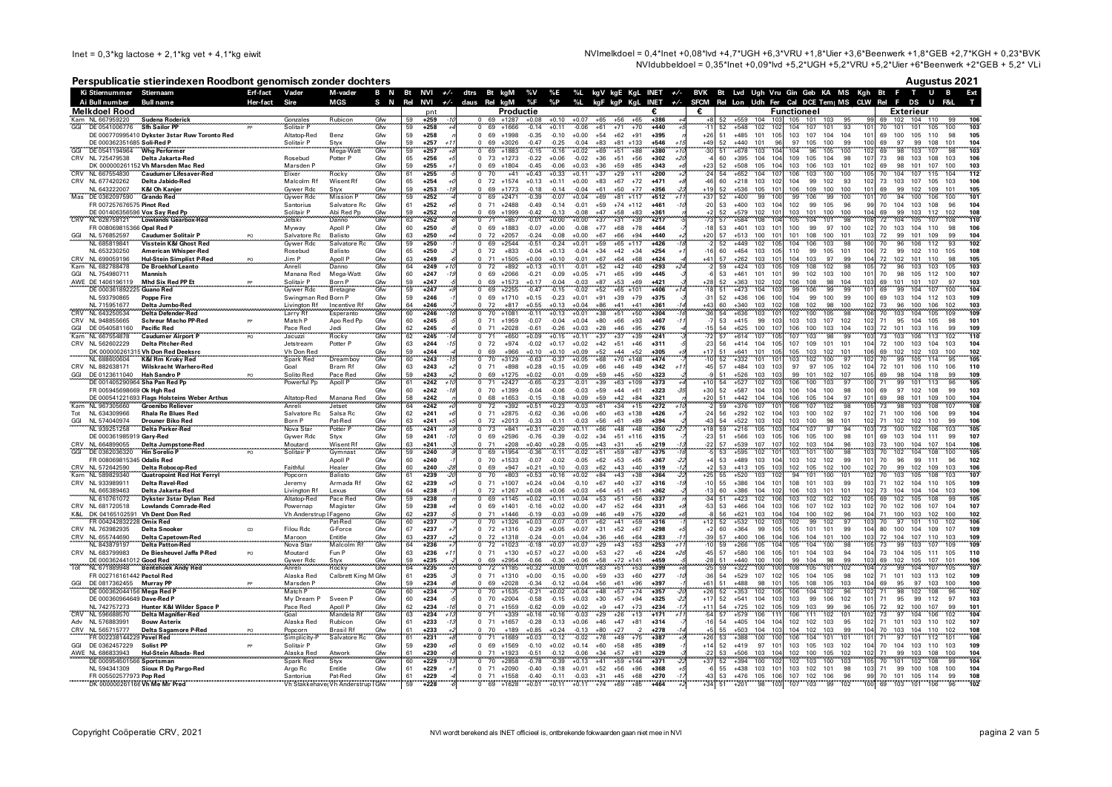$\ln e$ t = 0.3\*kg lactose + 2.1\*kg vet + 4.1\*kg eiwit

NVImelkdoel = 0.4\*lnet +0.08\*lvd +4.7\*UGH +6.3\*VRU +1.8\*Ujer +3.6\*Beenwerk +1.8\*GEB +2.7\*KGH + 0.23\*BVK NVIdubbeldoel = 0.35\*lnet +0.09\*lvd +5.2\*UGH +5.2\*VRU +5.2\*Uier +6\*Beenwerk +2\*GEB + 5.2\* VLi

### Perspublicatie stierindexen Roodbont genomisch zonder dochters

**Augustus 2021** Ki Stjernummer Stjernsom Erf-fact Vader M-vader B N Bt NVI +/- dtrs Bt kgM %V %E %L kgV kgE KgL INET +/- BVK Bt Lvd Ugh Vru Gin Geb KA\_MS Kgh Bt F T U B Ext Ai Rull numher **Rull nam**  $S$  N Rel NVI  $\pm$ /. daus Rel kgM %F %P %L kgF kgP KgL INET +/- SFCM Rel Lon Udh Fer Cal DCE Tem| MS CLW Rel F DS U F&L Melkdoel Rood  $nnt$ Productio £ £ **Eunctioneal** Exteriour Sudena Roderich **Kam NL 667959220 Sudena Rode**<br>GGI DE 0541006776 Sfh Sailor PP Gfw  $1259$  $69 + 1287 + 0.08$  $+0.10$  $+0.07$  $+65$  $+56$  $165$  $+386$ +559 104 103 105 101 103 69 102 104 110 Gonzales **Rubico** 106<br>103  $\overline{G}$  $\frac{18}{107}$  $\frac{55}{93}$  $50$  $1258$ 69 11666  $0.14$  $+0.11$  $-0.06$  $+61$  $-71$  $+70$  $AA0$ 62  $+548$ 102  $\overline{10}$ 104 101  $101$  $70^{\circ}$ 101 101 105  $100$ DE 000770995410 Dykster 3star Ruw Toronto Red Altaton-Red Benz Gfw 59 +258 0 69 1998 0 35 0 10 10 00 154 162 191 1395  $+26$ 51 +485 101 105 103 107 104 104 101 69 100 105 110 98 105 DE 000362351685 Soli-Red P Solitair P Styx<br>Mega-Wat Gfw 59  $+257$  $-0.47 - 0.25 - 0.04 + 83 + 81 + 133$  $44c$ 52  $+440$  101 96 97 105 100 99 100 69 97 99 108 101  $104$ 69 +3026  $+546$ DE 00000E00100  $\frac{1}{0.16}$   $\frac{100}{0.02}$   $\frac{100}{0.02}$  $105$  $\frac{1}{2}$ Who Boston  $\alpha$  $50$  $.257$  $0.15$  $-0.51$  $\overline{\phantom{a}}$ . od  $.201$  $\overline{51}$  $.670$  $102$  $104$  $0<sup>2</sup>$  $^{ca}$  $102.107$ CRV NL 725479538 Delta Jakarta-Red  $65$  $0.73 +1273 -0.22 +0.06 -0.02 +36 +51 +56$  $109$   $105$   $104$   $98$  $\frac{10}{107}$  $\frac{33}{73}$  98 103 108 103 Rosebud Potter P Gfw  $+256$  $+302$ 60 +395 104 104 106  $\overline{12}$ DK 000000261152 Vh Marsden Mac Red Marsden P  $0.69 + 1804$  $-0.45$   $-0.06$   $+0.03$   $+36$   $+59$   $+85$   $+343$  $+2:$ 52 +508 105 104 103 106 103 101 102 98 101 107 100 103 Gfw 59  $+255$ 69 CRV NL 667554830 Caudumer Lifesaver-Re Rocky  $54 + 652$  $104$ -16  $103 - 100 - 100$  $112$ Gh  $+255$  $+0.43 +0.33 +0.11 +37$  $+29 +11$  $+200$  $-24$ 106 105 70 104 107 115 Flixer 61  $70$  $+41$ 104 CRV NL 677420262 Delta Jabido-Red Malcolm Rf Wisent Rf  $0$  72 +1574 +0.13 +0.11 +0.00 +83 +67 +72 +471 60 +218 103 102 104 99 102 93 102 73 103 107 105 103 Gfw 65  $+254$  $-46$ 106 Gywer Rdc  $-0.18$   $-0.14$   $-0.04$   $+61$   $+50$  $+19$  $52 + 536 + 105 + 101$  $109$  100 100  $101$ NL 643222007 K&I Oh Kanier Stvx Gfw 59  $+253$  $+1773$  $+77$  $+356$  $106$ 69 99 109 105 Mas DE 0362097590 Grando Ree  $-0.39$   $-0.07$   $+0.04$   $+69$   $+81$   $+117$  $99 106 99 100$ Gywer Rdd Mission Gfw 59  $+252$  $0.69 +2471$  $+512$  $+3.$  $52 + 400$ 99 100 101 70  $94$ 100 106  $10<sup>7</sup>$ 101 FR 007257676575 Pinot Red 99 Santorius Salvatore Rc Gfw 61  $+252$ 0 71 +2488 -0.49 -0.14 -0.01 +59 +74 +112  $+461$  $-20$ 53 +400 103 104 102 99 105 96 70 104 103 108 96  $10<sub>4</sub>$ DE 001406356596 Vox Say Red Pp Solitair P Abi Red Pp Gfw 59  $+252$ 0 69 +1999 -0.42 -0.13 -0.08 +47 +58 +83  $+361$ 52 +579 102 101 103 101 100 100 104 69 99 103 112 102 108 NI 628758121 Lowlands Gearbox-Re letski Danno 63  $+252$ +857  $-0.01$  $+0.00 + 0.00$  $+37$  $+31$  $+39$  $57$  $+584$ 108  $10<sub>4</sub>$ 105 104 101  $\sqrt{98}$ 108 72 105 107  $110$  $71$  $\Delta$ noll P ED 000060915266 Oppl Red B Myway Gfw  $60 .250$  $0.60$ ,  $0.002$ ,  $0.00$ ,  $0.00$ ,  $0.00$ ,  $0.00$ ,  $0.00$ ,  $0.00$ ,  $0.00$ ,  $0.00$ ,  $0.00$ ,  $0.00$ ,  $0.00$ ,  $0.00$ ,  $0.00$ ,  $0.00$ ,  $0.00$ ,  $0.00$ ,  $0.00$ ,  $0.00$ ,  $0.00$ ,  $0.00$ ,  $0.00$ ,  $0.00$ ,  $0.00$ ,  $0.00$ ,  $0.00$ ,  $0.0$  $10$ 53 +401 103 101 100 99 97 100 102 70 103 104 110 98  $10<sup>2</sup>$ GGI NL 576852597 Caudumer Solitair P Salvatore R Balisto  $Gfa$ 63 +250  $0$  72 +2057 -0.24 -0.08 +0.00 +67 +66 +94 +440  $+20$ 57 +513 100 101 101 108 100 101  $103$ 72 99 101 109  $^{\circ}$ 104  $-0.24 +0.01 +59$  $52$  $102$  $106 - 103$  $100$  $102$ NI 685819841 Vicetoin K&I Choet Red Gywer Rd Salvato  $C<sub>1</sub>$ EQ  $.25$  $69 + 2544$  $\sqrt{5}$  51  $+65 +117$  $.426$  $AAQ$  $105$ 104  $\alpha$  $70^{\circ}$  $0<sup>6</sup>$ 106 112  $\sim$ NI 653230250 **American Whisper-Red** Rosebud **Balisto** Gfw 65  $+250$  $0.72 +833 -0.04 +0.13 -0.04 +34 +42 +34 +254$  $-16$ 60 +454 103 105 110 99 105 101 106 72 99 102 110 105 108 Hul-Stein Simplist P-Red  $\frac{71 + 1505 + 0.00 + 0.10}{72 + 892 + 0.13 + 0.11}$   $\frac{0.01 + 67 + 64}{0.01 + 52 + 42}$  $\frac{104}{109}$   $\frac{103}{108}$   $\frac{97}{102}$   $\frac{99}{98}$ CRV NL 699059196<br>Kam NL 682788478 Jim P Apoll P Gfw  $\frac{63}{64}$  $+249$  $+68$  $+42$  $\overline{A}$ 57  $+262$  103 101 104 72 102 101 110  $95$ 105  $\frac{100}{40}$  $\sim$  $\sim$  $.502$  $\frac{1}{50}$  $\sim$  $A - - -1$  $53 + 461 + 101 + 101$  $99 - 102 - 103 - 100 - 101 - 70 - 98 - 105 - 100 - 100$ GGI NI 754980711 Mannich Manana Red Mega-Watt Gfw  $60 +247$ 1 69 12066 021 000 1005 171 165 199 1445  $107$ AWE DE 1406196119 Mhd Six Red PP Et Solitair P **Born P**  $Gfa$ **FQ**  $+247$  $+25$  $52 + 363 + 102 + 102$ 106 108 98 104 103 69 101 101 107 97  $103$ DE 000361892225 Guano Red Gymrae Rdd Rretagne  $C<sub>1</sub>$  $50$  $1247$ **60 12255**  $\overline{0}$  $\overline{4}$  $0.15 - 0.02 + 52 + 65 + 101$ 1406 "ል"  $-4772 - 104 - 105$ 99 106 99 99 101  $69$ 99 104 107  $100$  $104$ NI 593790865 Poppe Fire Swingman Red Born P Gfw 59  $+246$ 0 69 +1710 +0.15 +0.23 +0.01 +91 +39 +79 +375  $\mathbb{R}^2$  $52 + 436 + 106 + 100$ 104 99 100 99 100 69 103 104 112 103 109 NI 715951677 Livington Rf Incentive Rf  $Gfa$  $64$  $+817$   $+0.55$   $+0.13$   $+0.04$   $+86$   $+41$  $\overline{4}$  $60 + 340 + 103 + 102$  $108$   $102$   $98$   $100$  $102$  $rac{108}{103}$ Delta Jumbo-Red  $+246$  $72$  $AA1$  $+361$ 73 96 100 106 102 CRV NI 643250534  $-0.11$   $+0.13$   $+0.01$   $+38$   $+51$  $\frac{1000}{54}$  +636 103 101  $\frac{188}{102}$  100  $\frac{105}{105}$  98  $106$   $70$   $103$   $104$   $105$  $109$ Delta Defender-Reg  $60$  $+246$  $0.70 - 1081$  $+50$  $+304$  $\frac{1}{105}$ Larry Rf Esperanto Gha  $-36$ CRV NI 948855665 Schreur Macho PP-Red  $0.71 + 1959 - 0.07 - 0.04 + 0.04 + 80 + 66 + 93$  $103$   $103$   $107$   $102$   $102$  $101$ Match P Ann Red Pn Gfw 60  $+245$  $+467$ 53 +415 99 103 71 95 104 105 98  $\frac{54}{57}$   $\frac{+625}{+614}$   $\frac{100}{107}$   $\frac{107}{105}$  $\frac{106}{107}$   $\frac{100}{103}$   $\frac{103}{98}$   $\frac{104}{99}$  $\frac{103}{103}$  72 101 103 116 GGI DE 0540581160 Pacific Red Pace Red ibel. 62  $+245$  $0$  71 +2028 -0.61 -0.26 +0.03 +28 +46  $+95$  $+276$ 99 109 Gfin NL 667554878 110  $+245$  $+0.09$  $+0.11$  $+37$  $+3$ **Caudumer Airport** Jacuzz **Rocky** Gfw 62  $+650$  $+0.15$  $+39$  $+24^{\circ}$ CRV NL 562602229 Delta Pitcher-Red  $63$  $0.72 +974 -0.02 +0.17 +0.02 +42 +51 +46 +311$  $-23$  $56 + 414 + 104 + 105$ 107 109 101 101 104 72 100 103 104 103 Jetstream Potter P Gfw  $+244$  $10<sup>2</sup>$ DK 000000261315 Vh Don Red Deeksrc  $+0.10 +0.10 +0.09 +52 +44 +52$  $51 + 641$  101 105  $105$  103 102 101 106 Vh Don Rec Gfw 59  $+244$  $69$  $4966$  $+305$  $+11$ 69 102 102 103 100 102 Dreamboy NI 688600604 K&I Rm Kroky Red Spark Red Gfw 60  $1243$  $\frac{1}{70}$  $+3129$  $\sqrt{2}$  $-0.37$  $+0.05 +68 +70 +148$  $52$  $+332$  $-101$  $\overline{10}$ 103  $102$ 100 97 102 70 99 105  $-114$  $105$  $63$  $+0.28$   $+0.15$   $+0.09$   $+66$   $+46$   $+49$ 97 97 105 102 104 CRV NI 882638171 Wilskracht Warhero-Red Goal Bram Rf Gfw  $+243$  $0, 71$ +898  $+342$  $-45$ 57 +484 103 103 72 101 106 110 106 110 GGI DE 0123611040 Hah Sandro P Solito Red Pace Red Gfw 59  $+243$ 69  $+1275$   $+0.02$   $-0.01$   $-0.09$   $+59$   $+45$  $+50$  $+323$ +526 103 103 99 101 102 107 105 69 98 104 118 99 109 DE 001406200064 Che Pen Ped B **Dought Dr** Apoll I  $.545$  $71.3457$  $0.22$  $0.01 - 20 - 62 - 100$  $.572$ rear<br>Ea  $507$  $702$  $-10$  $10<sup>2</sup>$  $\overline{100}$  $102$  $-101$  $-112$ **10E**  $C4.$ ĕ.  $0.65$ ີດາ  $00<sup>2</sup>$ ER 005945698669 Ok Hob Red  $Gfa$  $60 1242$ 134 AN 034 200 300 AO 09 213 150  $+30$ 52 +587 104 103 106 104 100 98 100 69 97 102 108 99  $10<sub>3</sub>$  $+323$ DE 000541221693 Flags Holsteins Weber Arthu Altaton-Red Manana Re Gfw 58  $+242$  $\sim$ 68 +1653 -0.15 -0.18 +0.09 +59 +42 +84 +321  $+20$ 51 +442 104 104 106 105 104 97  $101$ 69 98 101 109 100 104  $V_{\rm{max}}$  $.34 - .15$  $106$   $107$   $102$  $\frac{1}{108}$ NI 967305660 Croonibo Poliour Anrel Jetset  $C<sub>6</sub>$  $64$  $.242$  $72$  $0.03 + 61$  $+272$ 59 1276 107 10  $\alpha$  $105$  73 98 103 108  $\overline{10}$ 71 100 106 106 NL 634309966 Rhala Re Blues Red Salvatore Rc Salsa Rc Gfw 62  $+241$ 0 71 +2875 -0.62 -0.36 +0.06 +60 +63 +138 +426  $-24$ 56 +292 102 104 103 100 102 97 102 99 104 GGL NL 574040974 Drouper Riko Red Born P Pat-Red  $Gfa$  $63$  $1241$ 72 12013 133 111 103 156 161 189  $+394$  $\mathcal{A}^*$ 54 +522 103 102 103 100 98 101 102 71 102 102 110  $^{0}$ 106  $73 -$ Nova Sta Potter 1241  $\frac{1}{1841}$   $\frac{1}{1031}$   $\frac{1}{1020}$   $\frac{1}{1011}$  $+66 + 48$  $-48$  $\frac{51}{59}$   $\frac{151}{216}$   $\frac{105}{105}$  $103$  $104$  $107$  $\frac{55}{97}$ ∵ăż  $103$  $100 - 102$ 106 103  $105$ Gfw  $65$  $73$  $+350$  $106$   $105$   $100$   $98$ DE 000361985919 Gary-Red Gfw 59 0 69 +2596 -0.76 -0.39 -0.02 +34 +51 +116 +315  $-23$ 51 +566 103 105 101 69 103 104 111 99 107 Gywer Rdc Styx  $+241$ CRV NL 664899055 Delta Jumpstone-Red<br>GGL DE 0362036320 Hin Sorelio P Moutard Wisent R Gfw 63  $+241$  $0.71 +208 +0.40 +0.28 -0.05 +43 +31$  $+219$  $\mathcal{L}$ 57 +539 107 107 102 103 104 96 103 73 100 104 107 104 106 +5 DE 0362036320  $-100$ - 98 Solit **Gymnas** Gfw 59  $+240$ 69  $+1954$  $-0.36$  $-0.11$  $-0.02$  $+51$  $\overline{1}$ - 65  $+375$  $53$  $+595$ 102  $\overline{10}$ 103  $701$ 103  $\overline{70}$ 102 104 108  $\overline{100}$ 105 FR 008069815345 Odalis Red Apoll P Gfw  $60$  $0$  70 +1533 -0.07 -0.02 -0.05 +62 +53 +65  $53 +489 +103 +104$  $103$   $102$   $102$   $99$  $101$ 70 96 99 111 96  $102$  $+240$  $.267$ CRV NL 572642590 Delta Robocop-Red .<br>Faithfu  $+0.21 +0.10$  $-0.03 +62 +43$ 105  $102$  $102$ Healer Gfw  $60$  $+240$  $+917$  $-40$  $+219$ 53  $1.113$ 103 105 102 100  $70$ 99 102 109  $103$ 106 Quatropoint Red Hot Ferryl  $1053$  $1018 - 002 - 84$ **TER**  $-520$  $\frac{1}{102}$  $10<sup>2</sup>$  $101$  $100 - 101$  $103 - 105$  $108$ 107 Kam NI 589829340 **Rolleto**  $61$  $.229$  $70$  $+803$  $AA$  $+38$ ...<br>04  $\overline{70}$ Popcorn  $Gfa$  $+26/$  $+21$ CRV NI 033080011 Delta Ravel Red Armada Rf  $Gfa$ 62 +239  $0$  71 +1007 +0.24 +0.04 -0.10 +67 +40 +37  $-10$ 55 +386 104 101 108 101 103 99  $103$ 71 102 104 110 105  $10<sub>9</sub>$ Jeremy +316 NL 665389463 102 73 104 104 104 103 Delta Jakarta-Red Livington R  $64$  $+238$  $0$  72 +1267 +0.08 +0.06 +0.03 +64 +51  $+61$ 60 +386 104 102 106 103 101 101 106 Lexus Gfw  $+362$ NI 610761072 Dykster 3star Dylan Rec Altatop-Re  $.229$  $60 - 1145$  $.002$  $.011$  $0.04$  $\overline{15}$ ۰. . .  $.56$  $.52.$ ÷.  $1000$  $\frac{1}{202}$ - 12  $\frac{1}{102}$  $10<sup>2</sup>$  $102$  $102$  $\sim$  co  $102$  $10<sub>E</sub>$  $100$  $-20$ CRV NL 681720518 Lowlands Comrade-Red Magister  $\frac{50}{59}$  $0.69 +1401 -0.16 +0.02 +0.00 +47 +52 +64$ - Es 53 +466 104 103 106 107 102 103 102 70 102 106 107 104 Powernan Gfw  $+238$  $+331$  $10<sub>2</sub>$ K&L DK 04165102591 Vh Dent Don Red  $104$ Vh Anderst up I Fageno<br>Pat-Rec 62  $+237$ 71 +1446  $-0.19$  $-0.03 + 0.09 + 46 + 49$  $+75$  $+320$ 56  $+621$  103 104 104 100 102 96 71 100 103 102 100 102 60  $+1326$  $-0.07$  $+62$  $52$  $+532$ 102  $102$  $10<sub>6</sub>$ FR 004242832228 Omix Red  $10:$ 102 97 CRV NL 763982935 Delta Snooker G-Force 105 101 101 99 104  $\alpha$ **Filou Rdc** Gfw 67  $+237$  $0$  72 +1316 -0.29 +0.05 +0.07 +31 +52 +67  $+298$  $\pm 2$ 60 +364 99 105 80 100 104 109 107 109  $F_{\text{ntitle}}$ CRV NL 655744690 Delta Capatourn Res Moroon  $C4.$  $\mathbf{c}$  $.227$  $\sqrt{2}$  $3A_1$   $3C_1$   $A_2$   $A_3$   $A_4$   $A_5$   $A_6$   $A_7$   $A_8$   $A_9$  $.64$  $.202$  $\alpha$  $57$  $100 - 106 - 104 - 106 - 104 - 101 - 100$  $102.72.104.107.110.102$  $100$ Delta Capetowirt<br>Delta Petten Ped  $10.24$   $10.01$   $10.04$ NI 042070107  $N_{max}$  $M<sub>2</sub>$  $\frac{50}{64}$  $\frac{1}{20}$  $\overline{132}$ - 25 Ěά  $.266$  $\frac{1}{105}$ - 167  $104$  $\frac{1}{200}$  $105 - 72$  $C<sub>5</sub>$  $.226$  $.1022$  $.252$  $10<sub>E</sub>$  $\sim$  $0<sup>o</sup>$  $102 - 102$  $107$  $100$ CRV NL 683700083 De Riesberge Jeffe P-Red Moutard Fun P Gfw 63 +236  $0.71 + 130 + 0.57 + 0.27 + 0.00 + 53 + 27 + 6 + 224$  $AB$ 57 +580 106 105 101 104 103 94 104 73 104 105 111 105 110  $\mathbf{R}$  $\mathcal{L}$  $\overline{1}$  $\frac{99}{108}$  104 98 99 DE 000362441012 Good Red 59  $+235$ 69 +2954 -0.66 -0.30 +0.06 +58 +72 +141 +459  $-28$ 51 +440 100 100  $103$ 69 102 105 107 101 Gywer Rd Styx Gfw 106 Tot Rocky  $+0.09$ ∽ลัล 107 **NIL 671000040 Dontohook Andy Por**  $C<sub>6</sub>$  $64$  $.225$  $72 + 1185$  $+0.32$  $-0.01 + 83 + 51$  $+53$  $59$  $+322$  $\overline{100}$ 104 73  $00$  $104$  $707$ . 200 ER 002716161442 Boatel Red Colbrott King M. Charl  $61$  $0.91$   $0.000$   $0.15$   $0.000$   $0.000$   $0.000$   $0.000$   $0.000$   $0.000$   $0.000$   $0.000$   $0.000$   $0.000$   $0.000$   $0.000$   $0.000$   $0.000$   $0.000$   $0.000$   $0.000$   $0.000$   $0.000$   $0.000$   $0.000$   $0.000$   $0.000$   $0.000$   $0.000$  $^{\circ}$ E4 629 107 102 105 104 105 98 102 71 101 102 112 102 Algeba Red  $.225$  $.277$ 100 CCL DE 0917262455 Museu PR  $0.60$   $0.202$   $0.200$   $0.01$   $0.01$   $0.00$   $0.00$   $0.00$   $0.00$   $0.00$   $0.00$  $-61$  $51.198.00$   $60.101$  $105 - 109 - 105 - 102$  $104$  60 05 07 102 100  $100$ Moredon P  $C4.$ **EQ**  $.224$  $.297$ DE 000362044156 Maga Red  $\frac{153}{102}$   $\frac{35}{71}$ Match P Gha  $60$  $1.224$ 10 1635 101 100 100 100 100 170  $1357$  $+26$ 52 1353 102 105 106 104 102 96 98 102 108  $\overline{102}$  $52 + 541 + 104 + 103$  $103$  99  $106$  102 DE 000360964649 Dave-Red P Syson P  $60$ 194 FR1 021 2004 RD 8RD 1002 07 07 0  $+11$  $101$ 71 95 99 112 97  $10<sub>2</sub>$ My Dream P Ghar +234 +325  $\cdot$ 2 NL 742757273 Hunter K&I Wilder Space P 0 71 +1559 -0.62 -0.09 +0.02 +9 +47 +73 +234 109 103 99 96  $105 - 72$ Pace Red Anoll P Gfw 62  $+234$  $+11$ 54 +725 102 105 92 100 107 99 101 CRV NL 596688570 Delta Magnifier-Red  $G<sub>0a</sub>$ Mandela R  $Gfn$  $63$  $+234$  $1339$   $1016$   $1016$   $1013$   $199$   $126$   $113$  $+171$  $\mathcal{F}_{\mathcal{F}_{\ell}}$ 57 +579 106 11 106 111  $102 - 101$  $102 - 73$  $\overline{97}$  $104$ 106  $102$  $104$ Adv NL 576883991 Bouw Asterix auan<br>Alaska Red **Rubicon**  $Gfa$  $\frac{80}{61}$  $1233$  $0.71 + 1655 - 0.28 - 0.13 + 0.06 + 46 + 47$  $-81$  $1314$  $51 + 405 + 101 + 104$  $102$   $102$   $103$   $95$  $102$  $71$  101 103 110 102  $\frac{1}{107}$ CRV NL 565715777  $+189$  $+0.85$  $-0.13 +80$  $+503$  $104$  $103$  $104$   $102$   $103$  $104$ Delta Sagamore P-Red **Brasil Rf**  $+233$  $+0.24$  $+27$ 55 99 70 103 104 110 108 Popcorn Gfw  $+278$  $102$ 002238144229 Pavel Re Gfw  $+0.03$  $-0.12$  $-0.02 + 78$  $+75$ ू<br>दर  $+388$  $-100$  $104$  $101 - 101$  $71$ - 67  $+1689$  $+28$ 106 101 112 Simplicity Salvatore 61  $+231$  $-49$ GGI DE 0362457229 Solist PP  $0.69 + 1569$  $-0.10 + 0.02 + 0.14 + 60 + 58 + 85$  $52 +419$  97 101 103 105 103 102 104 70 104 103 110 103  $109$ Solitair P Gfw 59  $+230$  $+389$  $+14$ AWE NL 686833943 Hul-Stein Albada-Red  $0$  71 +1923 -0.51 -0.12 -0.06 +34 +57 53 +506 103 104 102 100 105 102 102 71 99 103 108 100 Alaska Red  $+81$ 104 Atwork Gfw 61  $+230$  $+329$  $-22$ - 71  $50.111$ Ě,  $.504$ - 18  $102 - 102 - 100$  $\frac{1}{102}$  $105 - 70$ -33  $C<sub>1</sub>$  $.220$  $.2050$  $0.70$  $.57.$  $100$  $101$  $102$  $100$ NL 594341309 Sioux R Dg Pargo-Red  $61 +229$  $0.71 + 2090 - 0.40 - 0.18 + 0.01 + 52 + 56 + 96 + 368$ 55 +438 103 101 103 102 101 98  $103\overline{71}$  99 100 108 100 Argo Rc Entitle  $Gfa$  $104$ FR 005502577973 Pop Red Santorius Pat-Red Gfw 61  $+229$  $\begin{array}{ccccccccc} 0 & 71 & +1558 & -0.40 & -0.11 & -0.03 & +31 & +45 & +68 \\ 0 & 71 & +1558 & -0.40 & -0.11 & -0.03 & +31 & +45 & +68 \\ 0 & 69 & +1628 & +0.01 & +0.11 & +0.11 & +74 & +69 & +85 \end{array}$  $+270$  $53 + 476 + 105 + 106$ 105 106 107 102 106 96<br>98 103 107 103 99 102  $99$ 70 101 105 114 99 108 DK 000000261166 Vh Me Mr Pred Vh Stakkehave Vh Anderstrup I GM  $59$ -šī  $+201$  $100 69 103$ 102  $+46$ 101 106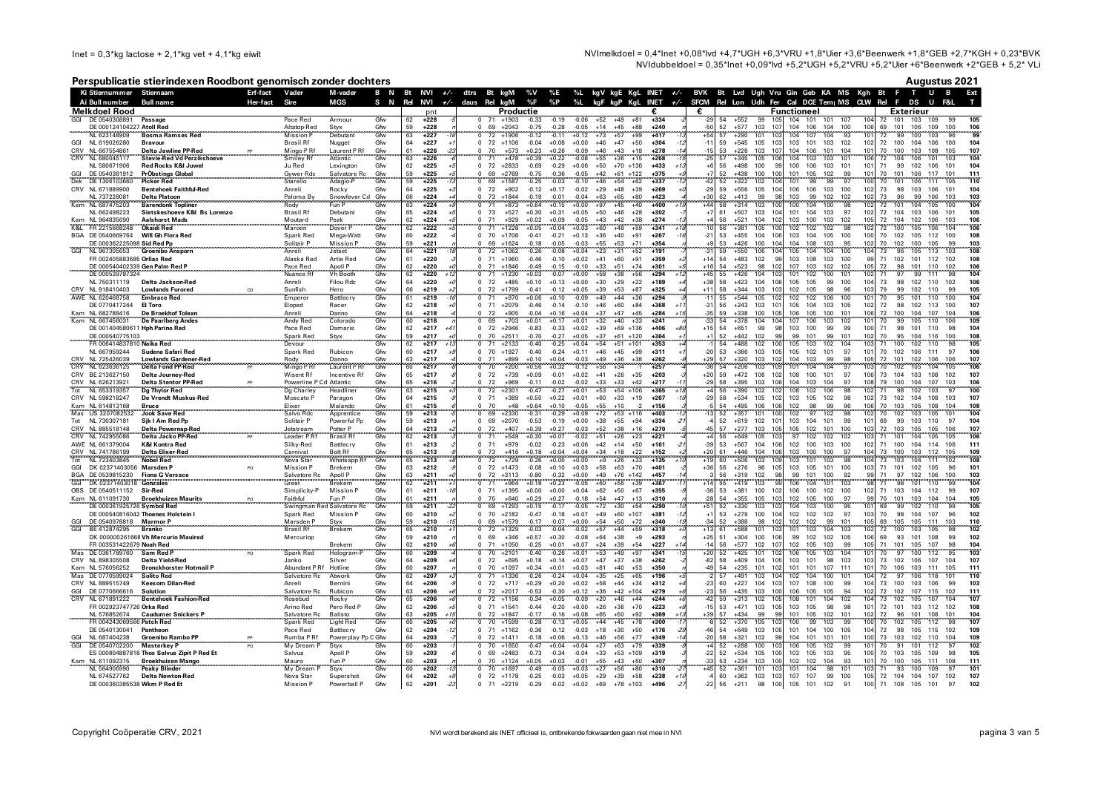NVImelkdoel = 0,4\*lnet +0,08\*lvd +4,7\*UGH +6,3\*VRU +1,8\*Uier +3,6\*Beenwerk +1,8\*GEB +2,7\*KGH + 0,23\*BVK NVIdubbeldoel =  $0.35$ \*Inet +0.09\*Ivd +5.2\*UGH +5.2\*VRU +5.2\*Uler +6\*Beenwerk +2\*GEB + 5.2\* VLi

## Perspublicatie stierindeven Roodhont genomisch zonder dochters

|            |                                            | Perspublicatie stierindexen Roodbont genomisch zonder dochters |          |                                       |                               |            |                              |                           |                                         |                    |                    |                    |                                      |                                   |                           |                | Augustus 2021                                                                                                                                                                                                                          |
|------------|--------------------------------------------|----------------------------------------------------------------|----------|---------------------------------------|-------------------------------|------------|------------------------------|---------------------------|-----------------------------------------|--------------------|--------------------|--------------------|--------------------------------------|-----------------------------------|---------------------------|----------------|----------------------------------------------------------------------------------------------------------------------------------------------------------------------------------------------------------------------------------------|
|            | Ki Stiernummer Stiernaam                   |                                                                | Erf-fact | Vader                                 | M-vader                       | B N        | Bt<br>NVI                    | $+/-$                     | dtrs<br>Bt kgM                          |                    | %V                 | %E                 |                                      | %L kgV kgE KgL INET $+/-$         |                           |                | BVK Bt Lvd Ugh Vru Gin Geb KA MS Kgh Bt<br>т<br>U                                                                                                                                                                                      |
|            | Ai Bull number<br>Melkdoel Rood            | Bull name                                                      | Her-fact | Sire                                  | MGS                           | S N        | Rel<br><b>NVI</b>            | $+/-$<br>nnt              | daus Rel kgM                            | Productie          | %F                 | %P                 | %L                                   | kgF kgP KgL INET $+/$             | €.                        | €              | SFCM Rel Lon Udh Fer Cal DCE Tem MS CLW Rel F DS U<br>F&L<br>Functioneel<br>Exterieur                                                                                                                                                  |
| GGI        | DE 0540308891                              | Passage                                                        |          | Pace Red                              | Armou                         | Gfw        | 62<br>$+228$                 |                           | $\mathbf 0$                             | $+1903$            | $-0.33$            | $-0.19$            | $-0.06$<br>$+52$                     | $+49$<br>$+81$                    | $+334$                    | $-29$          | 54<br>$+552$<br>105<br>104 101<br>101<br>10 <sub>1</sub><br>72<br>101<br>103<br>109<br>105                                                                                                                                             |
|            | DE 000124104227 Atoll Red                  |                                                                |          | Altatop-Red                           | Styx                          | Gfw        | 59                           | $+228$                    | 69                                      | $+2043$            | $-0.75$            | $-0.28$            | $-0.05$<br>$+14$                     | $+45$<br>$+88$                    | $+240$                    | -50            | 52<br>$+577$<br>103<br>10<br>104<br>106<br>104<br>100<br>106<br>69<br>101<br>106<br>109<br>100<br>106                                                                                                                                  |
|            | NL 623148909                               | <b>Bosma Ramses Red</b>                                        |          | <b>Mission P</b>                      | Debutant                      | Gfw        | 63                           | $+227$                    | 72<br>$\Omega$                          | $+1906$            | $-0.12$            | $-0.11$            | $+0.12$<br>$+73$                     | $+57$<br>$+99$                    | $+417$<br>$+304$          | $+54$          | 10<br>99<br>$+290$<br>101<br>103<br>104<br>107<br>104<br>93<br>72<br>99<br>100<br>103<br>57                                                                                                                                            |
| GGI<br>CRV | NL 619026280<br>NL 667554861               | <b>Bravour</b><br>Delta Jawline PP-Red                         |          | <b>Brasil Rf</b><br>Mingo P Rf        | Nugget<br>Laurent P Rf        | Gfw<br>Gfw | 64<br>61                     | $+227$<br>$+226$          | 72 +1106<br>70                          | $+573$             | $-0.04$<br>$+0.23$ | $+0.08$<br>$+0.26$ | $+0.00$<br>$+46$<br>$-0.09$<br>$+46$ | $+47$<br>$+50$<br>$+43$<br>$+18$  | $+278$                    | $-11$          | $+545$ 105<br>103<br>101<br>103<br>102<br>102<br>72<br>100<br>104<br>106<br>104<br>59<br>10<br>100<br>10<br>104<br>106<br>10 <sup>1</sup><br>53<br>$+228$<br>103<br>101<br>104<br>70<br>100<br>103<br>108<br>105<br>107                |
| CRV        | NL 680045117                               | <b>Stevie-Red Vd Perzikshoeve</b>                              |          | <b>Smiley Rf</b>                      | Atlantic                      | Gfw        | 63                           | $+226$                    | 71<br>$\overline{0}$                    | $+478$             | $+0.39$            | $+0.22$            | $-0.08$<br>$+55$                     | $+36$                             | $+15$<br>$+268$           | $-25$          | $+345$<br>104<br>101<br>106<br>57<br>105<br>106<br>103<br>103<br>72<br>104<br>106<br>101<br>104<br>103                                                                                                                                 |
|            | NL 580671906                               | <b>Red Rocks K&amp;I Juwel</b>                                 |          | Ju Red                                | Lexington                     | Gfw        | 62<br>$+225$                 |                           | 72<br>$\mathbf{0}$                      | $+2833$            | $-0.69$            | $-0.29$            | $+0.06$<br>$+50$                     | $+70$<br>$+136$                   | $+433$                    | $+6$           | 100<br>106<br>103<br>101<br>10 <sup>1</sup><br>71<br>56<br>$+498$<br>100<br>99<br>99<br>102<br>106<br>101<br>104                                                                                                                       |
| Dek        | DF 0540381912<br>DE 1306103660             | <b>PrÖbstings Global</b><br><b>Picker Red</b>                  |          | Gywer Rdc<br>Starello                 | Salvatore Rc<br>Adagio-P      | Gfw<br>Gfw | 59<br>59                     | $+225$<br>$+225$          | 69                                      | +2789<br>$+1587$   | $-0.75$<br>$-0.25$ | $-0.36$<br>$-0.03$ | $-0.05$<br>$+42$<br>$-0.10$<br>$+46$ | $+61$<br>$+122$<br>$+54$<br>$+62$ | $+375$<br>$+337$          |                | 52<br>$+438$<br>100<br>101<br>105<br>102<br>10 <sup>°</sup><br>70<br>101<br>106<br>111<br>99<br>100<br>110<br>$+322$<br>101<br>99<br>97<br>52<br>102<br>10 <sub>1</sub><br>70<br>101<br>106<br>105<br>111                              |
|            | CRV NL 671889900                           | <b>Bentehoek Faithful-Red</b>                                  |          | Anreli                                | Rocky                         | Gfw        | 64<br>$+225$                 |                           | $\mathbf 0$<br>72                       | $+902$             | $-0.12$            | $+0.17$            | $+29$<br>$-0.02$                     | $+48$<br>$+39$                    | $+269$                    | $-29$          | 106<br>106<br>103<br>59<br>$+556$<br>105<br>10 <sub>4</sub><br>100<br>102<br>73<br>98<br>103<br>106<br>101<br>104                                                                                                                      |
|            | NL 737228081                               | <b>Delta Platoon</b>                                           |          | Paloma By                             | Snowfever Cd Gfw              |            | 66                           | $+224$                    | 73<br>$\Omega$                          | $+1844$            | $-0.19$            | $-0.01$            | $-0.04$<br>$+63$                     | $+65$<br>$+80$                    | $+423$                    | $+30$          | 103<br>99<br>102<br>102<br>102<br>73<br>96<br>99<br>106<br>103<br>62<br>$+413$<br>99<br><b>qs</b><br>103                                                                                                                               |
|            | Kam NL 687475203                           | <b>Barendonk Topliner</b>                                      |          | Rody                                  | Fun P                         | Gfw        | 63                           | $+224$                    | 71<br>$\Omega$                          | $+873$             | $+0.64$            | $+0.15$            | $+0.00$<br>$+97$                     | $+45$<br>$+40$                    | $+400$                    | $+44$          | 100<br>102<br>104<br>58<br>$+314$<br>103<br>10<br>104<br>100<br>98<br>72<br>101<br>104<br>105<br>100                                                                                                                                   |
|            | NL 662498223<br>Kam NI 964835690           | Sietskeshoeve K&I Bs Lorenzo<br>Aalshorst Mads                 |          | <b>Brasil Rt</b><br>Moutard           | Debutant<br>Peak              | Gfw<br>Gfw | 65<br>$+224$<br>$+224$<br>62 |                           | 73<br>$\Omega$<br>71<br>$\Omega$        | $+527$<br>$+929$   | $+0.30$<br>$+0.02$ | $+0.31$<br>$+0.09$ | $+0.05$<br>$+50$<br>$-0.05$<br>$+43$ | $+46$<br>$+42$<br>$+38$           | $+28$<br>$+302$<br>$+274$ | $+7$           | 61<br>$+507$<br>103<br>10<br>101<br>104<br>103<br>97<br>102<br>72<br>104<br>103<br>106<br>101<br>105<br>$+521$<br>$10^{\circ}$<br>103<br>100<br>103<br>102<br>10!<br>72<br>104<br>102<br>106<br>103<br>106<br>56<br>104                |
|            | K&L FR 2215668248                          | <b>Okaidi Red</b>                                              |          | Maroon                                | Dover P                       | Gfw        | 62                           | $+222$                    | 71<br>$\Omega$                          | $+1228$            | $+0.05$            | $+0.04$            | $+0.03$<br>$+60$                     | $+48$<br>$+59$                    | $+341$                    |                | 98<br>102<br>106<br>56<br>$+381$<br>105<br>100<br>102<br>102<br>105<br>104<br>102<br>72<br>100<br>106                                                                                                                                  |
|            | BGA DE 0540669764                          | <b>Wifi Gh Flora Rec</b>                                       |          | Spark Red                             | Mega-Watt                     | Gfw        | 60                           | $+222$                    | $\Omega$<br>70                          | $+1706$            | $-0.41$            | $-0.21$            | $+0.13$<br>$+36$                     | $+40$<br>$+91$                    | $+267$                    | $-21$          | 53<br>$+455$<br>104<br>10 <sub>6</sub><br>103<br>104<br>105<br>100<br>100<br>70<br>102<br>105<br>112 100<br>108                                                                                                                        |
|            | DE 000362225098 Sid Red Pp                 |                                                                |          | Solitair P                            | <b>Mission P</b>              | Gfw<br>Gfw | 59<br>64                     | $+221$                    | 69<br>$\Omega$                          | $+1624$            | $-0.18$            | $-0.05$            | $-0.03$<br>$+55$                     | $+53$<br>$+71$                    | $+354$                    | $+9$<br>$-31$  | 53<br>$+426$<br>100<br>10 <sub>4</sub><br>104<br>108<br>103<br>102<br>70<br>102<br>100<br>105<br>99<br>103<br>95<br>104<br>108<br>10 <sub>1</sub>                                                                                      |
| GGI        | NL 967305653<br>FR 002405883685 Orliac Red | <b>Groenibo Ansporn</b>                                        |          | Anreli<br>Alaska Red                  | Jetset<br>Artie Red           | Gfw        | $+221$<br>61                 | $+220$                    | 72<br>$\overline{0}$<br>$\Omega$<br>71  | $+1062$<br>$+1960$ | $-0.26$<br>$-0.46$ | $-0.08$<br>$-0.10$ | $+0.04$<br>$+23$<br>$+0.02$<br>$+41$ | $+31$<br>$+52$<br>$+60$<br>$+91$  | $+191$<br>$+359$          | $+14$          | $+550$<br>106<br>59<br>105<br>104<br>104<br>96<br>105<br>113<br>103<br>100<br>73<br>54 +483 102<br>99<br>103<br>108<br>99<br>108<br>103<br>100<br>71<br>102<br>101 112 102                                                             |
|            |                                            | DE 000540402339 Gen Palm Red P                                 |          | Pace Red                              | Apoll P                       | Gfw        | 62                           | $+220$                    | 71<br>$\Omega$                          | $+1846$            | $-0.49$            | $-0.15$            | $-0.10$<br>$+33$                     | $+51$<br>$+74$                    | $+301$                    | $+16$          | 54<br>$+523$<br>98<br>10<br>107<br>103<br>102<br>102<br>105<br>72<br>98<br>101<br>110<br>102<br>106                                                                                                                                    |
|            | DE 000539787324                            |                                                                |          | Nuance Rf                             | Vh Booth                      | Gfw        | 62                           | $+220$<br>$+1$            | 71<br>$\Omega$                          | $+1230$            | $+0.03$            | $-0.07$            | $+0.00$<br>$+58$                     | $+38$<br>$+56$                    | $+294$                    | $+45$          | 55<br>$+426$<br>104<br>10<br>101<br>102<br>100<br>101<br>10:<br>71<br>97<br>99<br>104<br>111<br>98                                                                                                                                     |
|            | NL 750311119<br>CRV NL 918410403           | Delta Jackson-Rec<br><b>Lowlands Furored</b>                   |          | Anreli<br>Sunfish                     | Filou Rdc<br>Hero             | Gfw<br>Gfw | 64<br>66<br>$+219$           | $+220$                    | $\Omega$<br>72<br>72<br>$\Omega$        | $+485$<br>$+1799$  | $+0.10$<br>$-0.41$ | $+0.13$<br>$-0.12$ | $+0.00$<br>$+30$<br>$+0.05$<br>$+39$ | $+29$<br>$+53$<br>$+87$           | $+22$<br>$+189$<br>$+325$ | $+38$<br>$+11$ | $+423$<br>105<br>105<br>99<br>100<br>104<br>73<br>102<br>106<br>58<br>104<br>100<br>98<br>110<br>102<br>103<br>58<br>$+344$<br>103<br>10<br>102<br>105<br>98<br>96<br>79<br>99<br>102<br>110<br>99<br>105                              |
|            | AWE NL 620468758                           | <b>Embrace Red</b>                                             |          | Emperor                               | Battlecry                     | Gfw        | 61                           | $+219$                    | $\ddot{o}$<br>71                        | $+970$             | $+0.06$            | $+0.10$            | $-0.09$<br>$+49$                     | $+44$<br>$+36$                    | $+294$                    | $-11$          | 101<br>55<br>$+544$<br>105<br>10:<br>102<br>102<br>106<br>100<br>70<br>95<br>100<br>104<br>101<br>110                                                                                                                                  |
|            | DE 0770417244                              | El Toro                                                        |          | Eloped                                | Racer                         | Gfw        | 62                           | $+218$                    | $\Omega$<br>71                          | $+2079$            | $-0.46$            | $-0.14$            | $-0.10$<br>$+46$                     | $+60$<br>$+84$                    | $+368$                    | $-31$          | 56<br>$+243$<br>103<br>$10^{\circ}$<br>105<br>104<br>103<br>105<br>102<br>72<br>98<br>102<br>113<br>100<br>107                                                                                                                         |
|            | Kam NL 682788416                           | De Broekhof Tolean                                             |          | Anreli                                | Danno                         | Gfw        | 64<br>$+218$<br>60           |                           | $\Omega$<br>-72                         | $+905$             | $-0.04$            | $+0.16$            | $+37$<br>$+0.04$                     | $+47$<br>$+45$                    | $+284$                    | $-35$<br>$-33$ | 106<br>105<br>100<br>101<br>106<br>72<br>100<br>104<br>107<br>104<br>106<br>59<br>$+338$<br>100<br>10!<br>101<br>109<br>54<br>10                                                                                                       |
|            | Kam NL 667456031                           | De Paarlberg Andes<br>DE 001404580611 Hph Parino Red           |          | <b>Andy Red</b><br>Pace Red           | Colorado<br>Damaris           | Gfw<br>Gfw | $+218$<br>62<br>$+217$       | $^{+4}$                   | 69<br>$\Omega$<br>$\Omega$<br>72        | $+703$<br>$+2946$  | $+0.01$<br>$-0.83$ | $+0.17$<br>$-0.33$ | $+32$<br>$+0.01$<br>$+0.02$<br>$+39$ | $+40$<br>$+33$<br>$+69$<br>$+136$ | $+241$<br>$+406$          | $+15$          | $+378$<br>104<br>103<br>99<br>107<br>106<br>102<br>105<br>106<br>70<br>110<br>54<br>$+651$<br>99<br>.98<br>103<br>100<br>99<br>99<br>100<br>71<br>98<br>101<br>110<br>98<br>104                                                        |
| .          | DE 000540775103                            |                                                                |          | Spark Red                             | Styx                          | Gfw<br>Gfw | 59<br>$+217$                 |                           | 70                                      | $+2511$            | $-0.70$            | $-0.27$            | $+0.05$<br>$+37$                     | $+61$<br>$+120$                   | $+364$                    |                | 99<br>101<br>99<br>52<br>$+442$<br>102<br><b>gc</b><br>101<br>102<br>103<br>70<br>95<br>104<br>116<br>100<br>108                                                                                                                       |
|            | FR 006414837810 Naika Red                  |                                                                |          | Devour                                |                               |            | 62                           | $+217$                    | $\overline{0}$<br>71                    | $+2133$            | $-0.40$            | $-0.25$            | $+0.04$<br>$+54$                     | $+101$<br>$+51$                   | $+353$                    |                | $+488$<br>102<br>102<br>105<br>104<br>98<br>105<br>103<br>71<br>100<br>102<br>110<br>54<br>101                                                                                                                                         |
|            | NL 667959244<br>CRV NL 725426039           | Sudena Safari Red<br><b>Lowlands Gardener-Red</b>              |          | Spark Red<br>Rody                     | Rubicon<br>Danno              | Gfw<br>Gfw | 60<br>63<br>$+217$           | $+217$                    | 70<br>$\mathbf{0}$<br>$\mathbf 0$<br>71 | $+1927$<br>+899    | $-0.40$<br>$+0.10$ | $-0.24$<br>$+0.04$ | $+0.11$<br>$+46$<br>$-0.03$<br>$+49$ | $+45$<br>$+99$<br>$+36$           | $+311$<br>$+38$<br>$+262$ | $-20$<br>$+29$ | 53<br>$+386$<br>103<br>10!<br>105<br>102<br>101<br>97<br>101<br>70<br>102<br>106<br>111<br>97<br>106<br>$+320$<br>103<br>99<br>105<br>72<br>102<br>106<br>57<br>103<br>10:<br>104<br>98<br>101<br>106<br>107                           |
| <b>CRV</b> | NL 623636125                               | Delta Fond PP-Red                                              |          | Mingo PR                              | Laurent PR                    | Gfw        | 60<br>$+217$                 |                           | 70                                      | $+200$             | $+0.56$            | $+0.32$            | $-0.12$<br>$+56$                     | $+34$                             | $+257$                    | $-36$          | 109<br>103<br>$10^{\circ}$<br>106<br>54<br>$+206$<br>101<br>104<br>104<br>97<br>102<br>105<br>104<br>105<br>70                                                                                                                         |
|            | CRV BE 213627150                           | Delta Journey-Red                                              |          | Wisent Rf                             | Incentive Rf                  | Gfw        | 65<br>$+217$                 |                           | 72<br>$\Omega$                          | $+739$             | $+0.09$            | $-0.01$            | $+41$<br>$+0.02$                     | $+26$<br>$+35$                    | $+203$                    | $+20$          | 106<br>107<br>$+472$ 106<br>102<br>108<br>100<br>101<br>97<br>73<br>104<br>103<br>108<br>59<br>102                                                                                                                                     |
| Tot        | CRV NL 626213921<br>NL 653319357           | <b>Delta Stentor PP-Red</b><br>Dg Thylor Red                   |          | Powerline P Cd Atlantic<br>Dg Charley | <b>Headliner</b>              | Gfw<br>Gfw | 65<br>63                     | $+216$<br>$+215$          | 72<br>$\Omega$<br>72                    | $+969$<br>$+2301$  | $-0.11$<br>$-0.47$ | $-0.02$<br>$-0.27$ | $-0.02$<br>$+33$<br>$+0.01$<br>$+53$ | $+33$<br>$+42$<br>$+54$<br>$+106$ | $+217$<br>+365            | $-29$          | 58<br>$+395$<br>103<br>10 <sub>6</sub><br>104<br>103<br>104<br>97<br>108<br>79<br>100<br>104<br>107<br>103<br>106<br>ió:<br>56<br>$+390$<br>10:<br>108<br>106<br>98<br>102<br>95<br>102<br>103<br>97                                   |
|            | CRV NL 598218247                           | De Vrendt Muskus-Red                                           |          | Moscato P                             | Paragon                       | Gfw        | 64<br>$+215$                 |                           | $\Omega$<br>71                          | $+389$             | $+0.50$            | $+0.22$            | $+0.01$<br>$+60$                     | $+33$<br>$+19$                    | $+267$                    | $-29$          | 105<br>107<br>58<br>$+534$<br>105<br>10<br>103<br>102<br>98<br>102<br>73<br>102<br>104<br>108<br>103                                                                                                                                   |
|            | Kam NL 614813168                           | <b>Bruce</b>                                                   |          | Elixer                                | Malando                       | Gfw        | 61<br>$+215$                 |                           | 70<br>$\Omega$                          | $+48$              | $+0.64$            | $+0.10$            | $-0.05$<br>$+55$                     | $+10$                             | $+156$<br>$-2$            |                | $+495$ 106<br>10 <sub>6</sub><br>102<br>98<br>99<br>106<br>105<br>96<br>70<br>103<br>108<br>104<br>108<br>54                                                                                                                           |
|            | Mas US 3207082532                          | <b>Jook Save Red</b>                                           |          | Salvo Rdc                             | Apprentice                    | Gfw        | 59                           | $+213$                    | $\overline{0}$<br>69                    | $+2330$            | $-0.31$            | $-0.29$            | $+0.09$<br>$+72$                     | $+53$ +116                        | $+403$                    |                | 102<br>104<br>52<br>$+357$<br>101<br>100<br>102<br>97<br>102<br>98<br>70<br>102<br>103<br>105<br>101                                                                                                                                   |
| Tot        | NL 730307181<br>CRV NL 885518148           | Sik I Am Red Pp<br><b>Delta Powernap-Red</b>                   |          | Solitair P<br><b>Jetstream</b>        | Powerful Pp<br>Potter P       | Gfw<br>Gfw | 59<br>$+213$<br>64<br>$+213$ |                           | 69<br>$^{\circ}$<br>72                  | $+2070$<br>$+407$  | $-0.53$<br>$+0.39$ | $-0.19$<br>$+0.27$ | $+0.00$<br>$+38$<br>$-0.03$<br>$+52$ | $+55$<br>$+94$<br>$+38$<br>$+16$  | $+334$<br>$+270$          | $-45$          | 10 <sup>1</sup><br>103<br>104<br>101<br>10 <sup>1</sup><br>69<br>99<br>103<br>104<br>52<br>$+619$<br>102<br>99<br>110<br>-97<br>105<br>107<br>57<br>$+277$<br>103<br>102<br>101<br>100<br>101<br>72<br>103<br>105<br>105<br>106<br>101 |
| <b>CRV</b> | NL 742955086                               | Delta Jacko PP-Red                                             |          | Leader P Rt                           | Brasil Rf                     | Gfw        | 62<br>$+213$                 |                           | $\Omega$<br>71                          | $+549$             | $+0.30$            | $+0.07$            | $-0.02$<br>$+51$                     | $+26$<br>$+23$                    | $+221$                    |                | 10:<br>97<br>106<br>102<br>105<br>$+649$<br>102<br>104<br>105<br>56<br>10<br>102<br>71<br>101<br>105                                                                                                                                   |
|            | AWE NL 661379004                           | K&I Kontra Red                                                 |          | Silky-Red                             | Battlecry                     | Gfw        | 61                           | $+213$                    | $\Omega$<br>71                          | $+979$             | $-0.02$            | $-0.23$            | $+0.06$<br>$+42$                     | $+50$<br>$+14$                    | $+161$                    | $-39$          | 53<br>$+567$<br>104<br>102<br>100<br>103<br>100<br>102<br>71<br>100<br>104<br>106<br>111<br>100<br>114                                                                                                                                 |
| Tot        | CRV NL 741786199<br>NL 723403845           | Delta Elixer-Red<br><b>Nobel Red</b>                           |          | Carnival<br>Nova Star                 | <b>Bolt Rf</b>                | Gfw<br>Gfw | 65<br>$+213$<br>65           | $+213$                    | 73<br>$\Omega$<br>72<br>$\Omega$        | $+416$<br>$+729$   | $+0.18$<br>$-0.26$ | $+0.04$<br>$+0.00$ | $+0.04$<br>$+34$<br>$+0.00$<br>$+9$  | $+18$<br>$+22$<br>$+26$<br>$+33$  | $+152$<br>$+135$          | $+20$<br>$+19$ | 61<br>$+446$<br>104<br>10i<br>103<br>100<br>100<br>97<br>10 <sub>4</sub><br>73<br>100<br>103<br>112<br>105<br>109<br>$+506$<br>104<br>108<br>103<br>$10^{1}$<br>103<br>103<br>98<br>73<br>103<br>104<br>111<br>102<br>60<br>101        |
| GGI        | DK 02371403056 Marsden P                   |                                                                | PO       | <b>Mission P</b>                      | Whatsapp R<br>Brekem          | Gfw        | 63                           | $+212$                    | $\mathbf 0$<br>72                       | $+1473$            | $-0.08$            | $+0.10$            | $+0.03$<br>$+58$                     | $+70$<br>$+63$                    | $+401$                    | $+36$          | 105<br>105<br>101<br>103<br>71<br>101<br>102<br>101<br>56<br>$+276$<br>96<br>103<br>100<br>105<br>96                                                                                                                                   |
| <b>BGA</b> | DF 0539815230                              |                                                                |          | Salvatore R                           | Apoll P<br>Brekem             | Gfw<br>Gfw | 63                           | $+211$                    | 72                                      | $+3113$            | $-0.80$            | $-0.32$            | $+0.00$<br>$+49$                     | $+76$<br>$+142$                   | +457                      |                | 56<br>$+319$<br>102<br>99<br>101<br>100<br>71<br>97<br>102<br>106<br>103                                                                                                                                                               |
| GGI        | DK 02371403018                             | Gonzales                                                       |          | Great                                 |                               | Gfw        | 62<br>61                     | $+211$<br>$-1.$           | 71<br>71                                | $+964$             | $+0.18$            | $+0.23$            | $-0.05$<br>$+60$                     | $+56$<br>$+39$<br>$+67$           | $+367$<br>$+355$          | $+14$<br>$-36$ | <b>Q</b><br>106<br>55<br>103<br>101<br>104<br>$+419$<br>104<br>103<br>106<br>103<br>107<br>53<br>101<br>100<br>102<br>71<br>104<br>99                                                                                                  |
|            | OBS DE 0540511152<br>Kam NL 611091730      | Sir-Red<br><b>Broekhuizen Maurits</b>                          |          | Simplicity-P<br>Faithful              | <b>Mission</b> F<br>Fun P     | Gfw        | 61<br>$+211$                 | $+211$                    | $\Omega$<br>70<br>$\Omega$              | $+1395$<br>$+640$  | $+0.00$<br>$+0.29$ | $+0.00$<br>$+0.27$ | $+0.04$<br>$+62$<br>$-0.18$<br>$+54$ | $+50$<br>$+47$<br>$+13$           | $+310$                    | $-25$          | $+381$<br>100<br>100<br>102<br>112<br>54<br>$+355$<br>105<br>10'<br>102<br>105<br>100<br>97<br><b>q</b><br>70<br>101<br>103<br>104<br>104<br>105                                                                                       |
|            | DE 000361925726 Symbol Red                 |                                                                |          |                                       | Swingman Red Salvatore Rc     | Gfw        | 59                           | $+211$                    | 69                                      | $+1293$            | $+0.15$            | $-0.17$            | $-0.05$<br>$+72$                     | $+30$<br>$+54$                    | $+290$                    | $+51$          | $+330$<br>103<br>104<br>10<br>10<br>100<br>95<br>102<br>69<br>105<br>103<br>110                                                                                                                                                        |
|            |                                            | DE 000540816042 Thoenes Holstein I                             |          | Spark Red                             | <b>Mission P</b>              | Gfw        | 60                           | $+210$                    | $\mathbf 0$<br>70                       | $+2182$            | $-0.47$            | $-0.18$            | $+0.07$<br>$+49$                     | $+60$<br>$+107$                   | $+381$                    | $+1$           | 53<br>$+279$<br>100<br>10 <sub>4</sub><br>102<br>102<br>102<br>97<br>103<br>70<br>98<br>104<br>107<br>96<br>102                                                                                                                        |
| GGI<br>GGI | DE 0540978818 Marmor P<br>BE 412874295     | <b>Branko</b>                                                  |          | Marsden P<br><b>Brasil Rf</b>         | Styx<br><b>Brekem</b>         | Gfw<br>Gfw | 59<br>65                     | $+210$<br>$+210$          | 69<br>$\Omega$<br>$\overline{0}$<br>72  | $+1579$<br>$+1329$ | $-0.17$<br>$-0.03$ | $-0.07$<br>$-0.04$ | $+0.00$<br>$+54$<br>$-0.02$<br>$+57$ | $+50$<br>$+72$<br>$+44$<br>$+59$  | $+340$<br>$+318$          | $-34$<br>$+13$ | 10 <sup>5</sup><br>52<br>$+388$<br>98<br>$10^{\circ}$<br>102<br>102<br>99<br>101<br>69<br>105<br>105<br>111<br>103<br>110<br>$+588$<br>101<br>10<br>101<br>103<br>104<br>103<br>102<br>72<br>100<br>103<br>102<br>61<br>105<br>98      |
|            |                                            | DK 000000261668 Vh Mercurio Mauired                            |          | Mercuriop                             |                               | Gfw        | 59<br>$+210$                 |                           | $\mathbf 0$<br>69                       | $+346$             | $+0.57$            | $+0.30$            | $-0.08$<br>$+64$                     | $+38$                             | $+9$<br>$+293$            | $+25$          | $+304$<br>99<br>102<br>102<br>106<br>102<br>51<br>100<br>10<br>105<br>69<br>93<br>101<br>108<br>99                                                                                                                                     |
|            | FR 003531422679 Noah Red                   |                                                                |          |                                       | Brekem                        | Gfw<br>Gfw | 62                           | $+210$                    | 71                                      | $+1050$            | $-0.25$            | $+0.01$            | $+0.07$<br>$+24$                     | $+39$<br>$+54$                    | $+227$                    |                | 56<br>$+577$<br>102<br>$10^{\circ}$<br>102<br>105<br>103<br>qq<br>105<br>71<br>101<br>105<br>107<br>98<br>104                                                                                                                          |
|            | Mas DE 0361789760<br>CRV NL 898305508      | Sam Red P<br>Delta Yield-Red                                   |          | Spark Red<br>Janko                    | Hologram-<br>Silver           | Gfw        | 60<br>64                     | $+209$<br>$+209$          | 70<br>72<br>$\Omega$                    | $+2101$<br>$+695$  | $-0.40$<br>$+0.18$ | $-0.26$<br>$+0.14$ | $+0.01$<br>$+53$<br>$+0.07$<br>$+47$ | $+49$<br>$+97$<br>$+37$<br>$+38$  | $+341$<br>$+262$          | $+20$<br>$-82$ | 101<br>103<br>$+425$<br>101<br>102<br>106<br>103<br>97<br>100<br>95<br>52<br>105<br>104<br>70<br>112<br>$+409$<br>104<br>103<br>101<br>98<br>103<br>103<br>73<br>102<br>106<br>107<br>104<br>107<br>58<br>10!                          |
|            | Kam NL 576056252                           | <b>Bronckhorster Hotmail F</b>                                 |          | Abundant P Rf                         | Hotline                       | Gfw        | 60                           | $+207$                    | 70                                      | $+1097$            | $+0.34$            | $+0.01$            | $+0.03$<br>$+81$                     | $+40$<br>$+53$                    | $+350$                    | $-4.9$         | 54<br>$+235$<br>101<br>101<br>101<br>107<br>111<br>101<br>70<br>106<br>103<br>111<br>105<br>111<br>10                                                                                                                                  |
|            | Mas DE 0770599024                          | <b>Solito Red</b>                                              |          | Salvatore Rc                          | Atwork                        | Gfw        | 62<br>$+207$                 |                           | 71                                      | $+1336$            | $-0.26$            | $-0.24$            | $+0.04$<br>$+35$                     | $+25$<br>$+65$                    | $+196$                    |                | 104<br>103<br>10 <sub>1</sub><br>100<br>101<br>97<br>101<br>110<br>57<br>$+491$<br>102<br>104<br>72<br>106<br>118                                                                                                                      |
|            | CRV NL 889515749                           | <b>Keesom Dilan-Red</b>                                        |          | Anreli                                | Bernini                       | Gfw        | 64<br>$+206$                 |                           | 72<br>$\Omega$                          | $+717$             | $+0.29$            | $+0.20$            | $+0.02$<br>$+58$                     | $+44$<br>$+34$                    | $+312$                    | $-23$          | $+227$<br>104<br>10<br>107<br>108<br>10 <sub>4</sub><br>73<br>103<br>106<br>103<br>60<br>100<br>99<br>100<br>99                                                                                                                        |
| CRV        | DE 0770666616<br>NL 671891222              | <b>Solution</b><br><b>Bentehoek Fashion-Red</b>                |          | Salvatore Ro<br>Rosebud               | Rubicon<br>Rocky              | Gfw<br>Gfw | 63<br>65                     | $+206$<br>$+206$          | 72<br>72                                | $+2017$<br>$+1156$ | $-0.53$<br>$-0.34$ | $-0.30$<br>$+0.05$ | $+0.12$<br>$+36$<br>$-0.09$<br>$+20$ | $+42$<br>$+104$<br>$+44$<br>$+46$ | $+279$<br>$+244$          |                | 56<br>$+435$<br>103<br>10(<br>106<br>105<br>105<br>102<br>72<br>102<br>107<br>115<br>102<br>111<br>104<br>107<br>59<br>$+313$<br>108<br>104<br>102<br>10<br>101<br>102<br>73<br>102<br>105<br>107                                      |
|            | FR 002923747726 Orka Red                   |                                                                |          | Arino Red                             | Pero Red P                    | Gfw        | 62                           | $+206$                    | $\Omega$<br>71                          | $+1541$            | $-0.44$            | $-0.20$            | $+0.00$<br>$+26$                     | $+36$<br>$+70$                    | $+223$                    | $-15$          | $+471$<br>10 <sup>1</sup><br>103<br>105<br>98<br>98<br>$10^{\circ}$<br>72<br>101<br>103<br>108<br>53<br>103<br>112<br>102                                                                                                              |
|            | NL 576852674                               | <b>Caudumer Snickers P</b>                                     |          | Salvatore Rc                          | Balisto                       | Gfw        | 63                           | $+205$<br>$+1$            | 72<br>$\Omega$                          | $+1847$            | $-0.17$            | $-0.16$            | $+0.08$<br>$+65$                     | $+50$<br>$+92$                    | $+369$                    | $+39$          | $+434$<br><b>q</b><br>101<br>105<br>102<br>101<br>102<br>72<br>104<br>57<br>99<br>96<br>101<br>108<br>101                                                                                                                              |
|            | FR 004243069566 Patch Red<br>DE 0540130041 | Pantheor                                                       |          | Spark Red<br>Pace Red                 | <b>Light Red</b><br>Battlecry | Gfw<br>Gfw | 60<br>62                     | $+205$<br>$+204$<br>$-1.$ | 70<br>$\Omega$<br>71<br>$\Omega$        | $+1599$<br>$+1162$ | $-0.28$<br>$-0.36$ | $-0.13$<br>$-0.12$ | $+0.05$<br>$+44$<br>$-0.03$<br>$+18$ | $+45$<br>$+78$<br>$+30$           | +300<br>$+50$<br>$+176$   | $-46$          | 107<br>$+370$<br>105<br>10<br>100<br>99<br>103<br>99<br>100<br>102<br>105<br>98<br>52<br>70<br>112<br>54<br>$+649$<br>103<br>10!<br>101<br>104<br>100<br>105<br>104<br>72<br>98<br>105<br>115<br>102<br>109                            |
| GGI        | NI 687404238                               | <b>Groenibo Rambo PF</b>                                       |          | Rumba <sub>PRf</sub>                  | Powerplay Pp                  | C Gfw      | $+203$<br>64                 |                           | 72                                      | $+1411$            | $-0.18$            | $+0.06$            | $+0.13$<br>$+46$                     | $+77$<br>$+56$                    | $+349$                    | $-20$          | $+321$<br>104<br>101<br>101<br>101<br>10(<br>73<br>103<br>110 104<br>58<br>102<br>- qo<br>102<br>109                                                                                                                                   |
| GGI        | DE 0540702200                              | <b>Masterkey P</b>                                             |          | My Dream P                            | Styx                          | Gfw        | 60                           | $+203$                    | 70                                      | $+1650$            | $-0.47$            | $+0.04$            | $+0.04$<br>$+27$                     | $+63$<br>$+79$                    | $+339$                    |                | $+288$<br>106<br>99<br>10 <sup>1</sup><br>102<br>52<br>100<br>105<br>102<br>70                                                                                                                                                         |
|            |                                            | ES 000804887818 Thos Salvus Zipit P Red Et                     |          | Salvus                                | Apoll P                       | Gfw        | 59<br>$+203$                 |                           | $\Omega$<br>69                          | $+2483$            | $-0.73$            | $-0.34$            | $-0.04$<br>$+33$                     | $+53$<br>$+109$<br>$+43$          | $+319$                    | $-22$          | 103<br>70<br>$52 + 534$<br>105<br>10<br>103<br>105<br>95<br>100<br>103<br>105<br>109<br>98<br>105<br>111                                                                                                                               |
|            | Kam NL 611092315<br>NL 564906990           | Broekhuizen Mango<br><b>Peaky Blinder</b>                      |          | Mauro<br>My Dream                     | Fun P<br>Styx                 | Gfw<br>Gfw | 60<br>60                     | $+203$<br>$+202$          | 70<br>70<br>$\Omega$                    | $+1124$<br>$+1697$ | $+0.05$<br>$-0.49$ | $+0.03$<br>$-0.05$ | $-0.01$<br>$+55$<br>$+0.03$<br>$+27$ | $+50$<br>$+56$                    | $+307$<br>$+80$<br>+310   | -33<br>$+45$   | 53<br>$+234$<br>103<br>10(<br>102<br>102<br>104<br>93<br>101<br>70<br>100<br>105<br>108<br>111<br>98<br>103<br>$+361$<br>101<br>103<br>101<br>104<br>101<br>93<br>100<br>97<br>101<br>52<br>71<br>109                                  |
|            | NL 674527762                               | <b>Delta Newton-Red</b>                                        |          | Nova Star                             | Supershot                     | Gfw        | 64                           | $+202$                    | 72<br>$\Omega$                          | $+1178$            | $-0.25$            | $-0.03$            | $+0.05$<br>$+29$                     | $+39$<br>$+58$                    | $+238$                    |                | $+362$ 103<br>103<br>107<br>107<br>99<br>100<br>105<br>72 104 104<br>107<br>60<br>102<br>107                                                                                                                                           |
|            | DE 000360385538 Wkm P Red Et               |                                                                |          | <b>Mission F</b>                      | Powerball P                   | Gfw        | 62                           | $+201$<br>$-23$           | $\mathbf{0}$<br>71                      | $+2219$            | $-0.29$            | $-0.02$            | $+0.02$<br>$+69$                     | $+78$<br>$+103$                   | +496                      | $-22$          | 100<br>105<br>101<br>102<br>100 71 108<br>105<br>56<br>$+211$<br>98<br>91<br>101<br>-97<br>102                                                                                                                                         |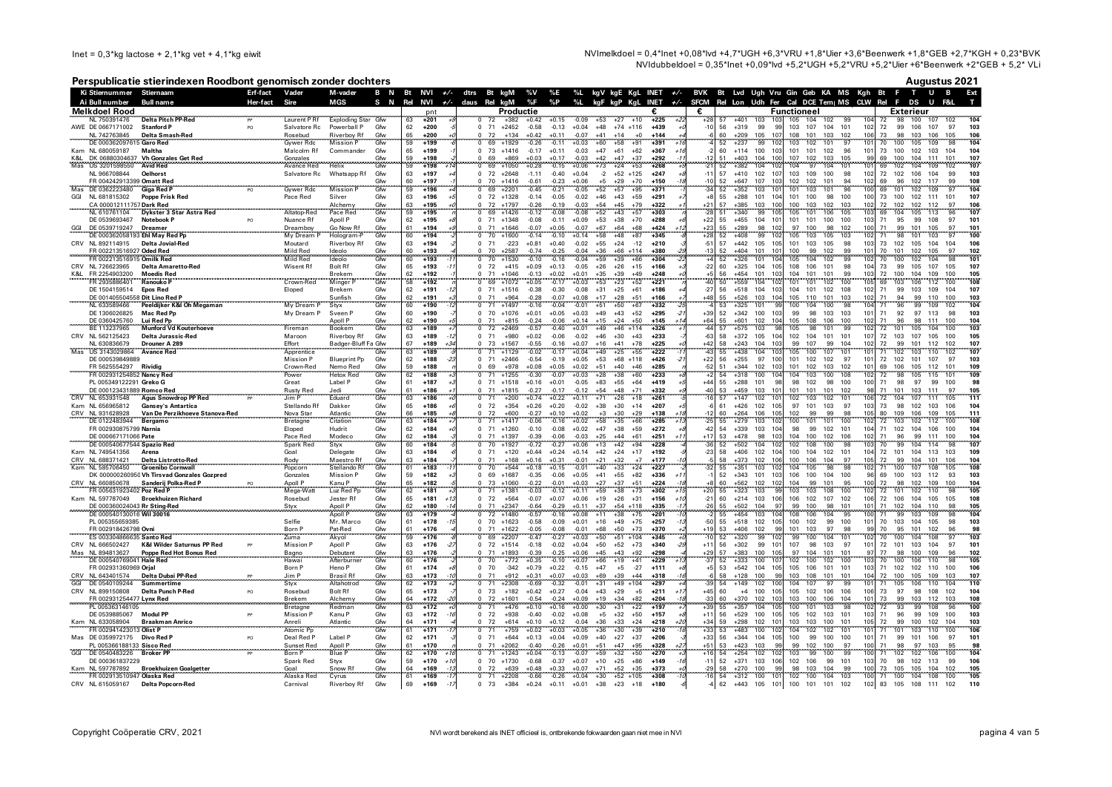NVImelkdoel = 0,4\*Inet +0,08\*lvd +4,7\*UGH +6,3\*VRU +1,8\*Uier +3,6\*Beenwerk +1,8\*GEB +2,7\*KGH + 0,23\*BVK NVIdubbeldoel =  $0.35$ \*Inet +0.09\*Ivd +5.2\*UGH +5.2\*VRU +5.2\*Uler +6\*Beenwerk +2\*GEB + 5.2\* VLi

# Perspublicatie stierindexen Roodbont genomisch zonder dochters

|  |  | Augustus 2021 |  |
|--|--|---------------|--|
|--|--|---------------|--|

|                                           | Ki Stiernummer Stiernaam                                          | Erf-fact | Vader                        | M-vader                         |            | B N Bt NVI +/- dtrs Bt kgM |                          |                          |                                   |                     |                    | %V %E              |                    |                      |                                   |                       |                   | %L kgV kgE KgL INET +/- BVK Bt Lvd Ugh Vru Gin Geb KA MS Kgh Bt F T U B<br>Ext                                                                                                                                                  |
|-------------------------------------------|-------------------------------------------------------------------|----------|------------------------------|---------------------------------|------------|----------------------------|--------------------------|--------------------------|-----------------------------------|---------------------|--------------------|--------------------|--------------------|----------------------|-----------------------------------|-----------------------|-------------------|---------------------------------------------------------------------------------------------------------------------------------------------------------------------------------------------------------------------------------|
| Ai Bull number                            | <b>Bull name</b>                                                  | Her-fact | Sire                         | MGS                             | S N        | Rel NVI                    |                          | $+\sqrt{-}$ daus Rei kgM |                                   |                     | %F                 | $\%$ P             | $\%L$              |                      |                                   | kgF kgP KgL INET $+/$ |                   | SFCM Rel Lon Udh Fer Cal DCE Tem MS CLW Rel F DS U<br>F&L                                                                                                                                                                       |
| <b>Melkdoel Rood</b><br>NL 750391476      | <b>Delta Pitch PP-Red</b>                                         |          | Laurent P Rf                 | Exploding Star Gfw              |            | 63                         | pnt<br>+201              |                          | 72                                | Productie<br>$+382$ | $+0.42$            | $+0.15$            | $-0.09$            | $+53$                | $+27$<br>$+10$                    | $+225$                | €                 | <b>Functioneel</b><br>Exterieur<br>104<br>104<br>100<br>$+401$<br>103<br>10<br>105<br>102<br>99<br>98<br>107<br>102                                                                                                             |
| AWE DE 0667171002 Stanford P              |                                                                   | PO       | Salvatore Rc                 | Powerball P                     | Gfw        | 62                         | $+200$                   |                          | 71<br>$\Omega$                    | $+2452$             | $-0.58$            | $-0.13$            | $+0.04$            | $+48$                | $+74$ $+116$                      | $+439$                | $-1$              | $+319$<br>99<br>103<br>107 104<br>101<br>102<br>72<br>99<br>106<br>107<br>97<br>103<br>56<br><b>gc</b>                                                                                                                          |
| NL 742763845                              | <b>Delta Smash-Red</b>                                            |          | Rosebud                      | Riverboy Rf                     | Gfw        | 65                         | $+200$                   |                          | 72                                | $+134$              | $+0.42$            | $+0.11$            | $-0.07$            | $+41$                | $+14$<br>$+0$                     | $+144$                |                   | $+209$<br>105<br>10<br>108<br>101<br>103<br>102<br>106<br>73<br>98<br>103<br>106<br>105<br>106<br>60                                                                                                                            |
|                                           | DE 000362097615 Garo Red                                          |          | <b>Gywer Rdc</b>             | <b>Mission P</b>                | Gfw        | 59                         | $+199$                   |                          | 69                                | $+1929$             | $-0.26$            | $-0.11$            | $+0.03$            | $+60$                | $+58$<br>$+91$                    | $+391$                |                   | 104<br>$+237$<br>99<br>10<br>103<br>102<br>101<br>97<br>10<br>100<br>105<br>109<br>98<br>52<br>70                                                                                                                               |
| Kam NL 680059187<br>K&L                   | <b>Maltha</b><br>DK 06880304637 Vh Gonzales Get Red               |          | Malcolm Rf<br>Gonzales       | Commander                       | Gfw<br>Gfw | 65<br>59                   | $+199$<br>$+198$         |                          | 73<br>69                          | $+1416$<br>$+869$   | $-0.17$<br>$+0.03$ | $+0.11$<br>$+0.17$ | $-0.03$<br>$-0.03$ | $+47$<br>$+42$       | $+61$<br>$+62$<br>$+47$<br>$+37$  | $+367$<br>$+292$      |                   | 104<br>60<br>$+114$<br>100<br>10<br>101<br>101<br>102<br>96<br>10 <sup>°</sup><br>73<br>100<br>102<br>103<br>104<br>$+403$<br>107<br>102<br>103<br>104<br>111<br>107<br>51<br>104<br>100<br>105<br>$\alpha$<br>69<br>100<br>101 |
| Mas<br>US 3201598550                      | <b>Avid Red</b>                                                   |          | Avance Red                   | Helix                           | Gfw        | 59                         | $+198$                   |                          | 69                                | $+1050$             | $+0.28$            | $-0.15$            | $+0.06$            | $+73$                | $+24$<br>$+53$                    | $+268$                |                   | 52<br>104<br>97<br>104<br>104<br>109<br>102<br>107<br>$+382$<br>10<br>104<br>101<br>10 <sup>1</sup><br>102<br>69                                                                                                                |
| NL 966708844                              | Oelhorst                                                          |          | Salvatore Rc                 | Whatsapp Rf                     | Gfw        | 63                         | $+197$                   |                          | 72<br>$\Omega$                    | $+2648$             | $-1.11$            | $-0.40$            | $+0.04$            | $-2$                 | $+52$ +125                        | $+247$                | $-1$ <sup>-</sup> | 57<br>103<br>100<br>72<br>103<br>$+410$<br>102<br>107<br>109<br>98<br>102<br>102<br>106<br>104<br>99                                                                                                                            |
|                                           | FR 004242913399 Omatt Red                                         |          |                              |                                 | Gfw        | 60                         | $+197$                   |                          | 70<br>$\Omega$                    | $+1416$             | $-0.61$            | $-0.23$            | $+0.06$            | $+5$                 | $+29$<br>$+70$                    | $+150$                | $-10$             | 52<br>$+647$<br>107<br>103<br>102<br>102<br>101<br>94<br>102<br>69<br>96<br>102<br>117<br>99<br>108                                                                                                                             |
| Mas DE 0362223480<br>GGI<br>NL 681815302  | <b>Giga Red P</b><br><b>Poppe Frisk Red</b>                       | PO       | <b>Gywer Rdc</b><br>Pace Red | <b>Mission P</b><br>Silver      | Gfw<br>Gfw | 59<br>63                   | $+196$<br>$+196$         |                          | 69<br>72                          | $+2201$<br>$+1328$  | $-0.45$<br>$-0.14$ | $-0.21$<br>$-0.05$ | $-0.05$<br>$-0.02$ | $+52$<br>$+46$       | $+57$<br>$+95$<br>$+43$<br>$+59$  | $+371$<br>$+291$      | $-34$             | 97<br>$+352$<br>103<br>103<br>96<br>109<br>104<br>52<br>10<br>101<br>101<br>100<br>69<br>101<br>102<br>55<br>$+288$<br>101<br>101<br>100<br>98<br>100<br>100<br>73<br>100<br>102<br>111<br>107<br>104<br>101                    |
|                                           | CA 000012111757 Dark Red                                          |          |                              | Alchemy                         | Gfw        | 63                         | $+195$                   |                          | 72<br>$\Omega$                    | $+1797$             | $-0.26$            | $-0.19$            | $-0.03$            | $+54$                | $+45$<br>$+79$                    | $+322$                | $+21$             | $+385$<br>100<br>103<br>102<br>72<br>57<br>103<br>100<br>103<br>102<br>102<br>102<br>112<br>97<br>106                                                                                                                           |
| NL 610761104                              | Dykster 3 Star Astra Red                                          |          | Altatop-Red                  | Pace Red                        | Gfw        | 59                         | $+195$                   |                          | 69                                | $+1426$             | $-0.12$            | $-0.08$            | $-0.08$            | $+52$                | $+43$<br>$+57$                    | $+303$                | -28               | 107<br>$+340$<br>99<br>$10^{1}$<br>105<br>101<br>106<br>105<br>103<br>104<br>105<br>113<br>51<br>96<br>69                                                                                                                       |
| DE 0539693467                             | Notebook P                                                        | PO       | Nuance Rf                    | Apoll P                         | Gfw        | 62                         | $+195$                   |                          | 71<br>$\Omega$                    | $+1348$             | $-0.08$            | $-0.11$            | $+0.09$            | $+53$                | $+70$<br>$+38$                    | $+288$<br>+424        | $+22$             | $+455$<br>101<br>101<br>100<br>100<br>103<br>71<br>95<br>97<br>55<br>104<br>$10^{\circ}$<br>99<br>108<br>101<br>102<br>100<br>99                                                                                                |
| DE 0539719247                             | <b>Dreamer</b><br>DE 000362058193 Ehl May Red Pp                  |          | Dreamboy<br>My Dream P       | Go Now Rf<br>Hologram-P         | Gfw<br>Gfw | 61<br>60                   | $+194$<br>$+194$         |                          | 71<br>70                          | $+1646$<br>$+1600$  | $-0.07$<br>$-0.14$ | $+0.05$<br>$-0.10$ | $-0.07$<br>$+0.14$ | $+67$<br>$+58$       | $+64$<br>$+68$<br>$+48$<br>$+87$  | $+345$                | $+23$<br>$+28$    | 55<br>$+289$<br>98<br>97<br>100<br>98<br>102<br>71<br>101<br>105<br>97<br>101<br>99<br>$+408$<br>105<br>103<br>102<br>98<br>10<br>105<br>103<br>71<br>101<br>103<br>97<br>100<br>52                                             |
| NL 892114915                              | <b>Delta Jovial-Red</b>                                           |          | Moutard                      | Riverboy Rf                     | Gfw        | 63                         | $+194$                   |                          | 71                                | $-223$              | $+0.81$            | $+0.40$            | $-0.02$            | $+55$                | $+24$<br>$-12$                    | $+210$                | $-51$             | 57<br>$+442$<br>105<br>101<br>103<br>105<br>98<br>103<br>73<br>102<br>105<br>104<br>106<br>10!<br>104                                                                                                                           |
|                                           | FR 002213516927 Oded Red                                          |          | Mild Red                     | Ideolo                          | Gfw        | 60                         | $+193$                   |                          | 70                                | $+2587$             | $-0.74$            | $-0.25$            | $-0.04$            | $+36$                | $+66$<br>$+114$                   | $+380$                | $-13$             | 100<br>99<br>102<br>52<br>$+404$<br>101<br>10<br>99<br>101<br>70<br>101<br>102<br>105<br>97<br>102                                                                                                                              |
|                                           | FR 002213516915 Omilk Red                                         |          | Mild Red                     | Ideolo                          | Gfw        | 60                         | $+193$                   |                          | 70<br>$\Omega$                    | $+1530$             | $-0.10$            | $-0.16$            | $-0.04$            | $+59$                | $+39$<br>$+66$                    | $+304$                |                   | 99<br>101<br>52<br>101<br>105<br>104<br>102<br>102<br>102<br>104<br>98<br>$+326$<br>10 <sub>1</sub><br>70<br>100                                                                                                                |
| CRV<br>NL 726623965<br>FR 2254903200      | Delta Amaretto-Red<br><b>Moedis Red</b>                           |          | Wisent Rf                    | <b>Bolt Rf</b><br><b>Brekem</b> | Gfw<br>Gfw | 65<br>62                   | $+193$<br>$+192$         |                          | 72<br>$\Omega$<br>71              | $+415$<br>$+1046$   | $+0.09$<br>$-0.13$ | $+0.13$<br>$+0.02$ | $-0.05$<br>$+0.01$ | $+26$<br>$+35$       | $+26$<br>$+15$<br>$+39$<br>$+49$  | $+166$<br>$+248$      | $-22$             | 108<br>106<br>101<br>104<br>73<br>99<br>107<br>107<br>60<br>$+325$<br>104<br>105<br>98<br>105<br>105<br>56<br>$+454$<br>101<br>104<br>101<br>101<br>99<br>103<br>72<br>100<br>104<br>109<br>100<br>105                          |
| K&L<br>FR 2935886401                      | ,,,,,,,,,,,,,,,,,,,,,,,,,,,,,,,,,,,<br>Ranouko P                  |          | Crown-Red                    | Minger                          | Gfw        | 58                         | $+192$                   |                          | 69                                | $+1072$             | $+0.05$            | $-0.17$            | $+0.03$            | $+53$                | $+23$<br>$+52$                    | $+221$                |                   | 108<br>50<br>$+559$<br>104<br>101<br>100<br>102<br>69<br>106<br>112<br>100<br>101<br>103                                                                                                                                        |
| DE 1504159514                             | <b>Epos Red</b>                                                   |          | Eloped                       | Brekem                          | Gfw        | 62                         | $+191$                   |                          | 71                                | $+1516$             | $-0.38$            | $-0.30$            | $-0.08$            | $+31$                | $+25$<br>$+61$                    | $+186$                | $-27$             | 56<br>$+518$<br>104<br>103<br>104<br>101<br>102<br>108<br>102<br>71<br>99<br>103<br>109<br>104<br>107                                                                                                                           |
|                                           | DE 001405504558 Dit Lino Red P                                    |          |                              | Sunfish                         | Gfw        | 62                         | $+191$                   |                          | $\Omega$<br>71                    | $+964$              | $-0.28$            | $-0.07$            | $+0.08$            | $+17$                | $+28$<br>$+51$                    | $+166$                | +48               | 105<br>110<br>101<br>102<br>94<br>99<br>110<br>100<br>103<br>55<br>$+526$<br>103<br>104<br>103<br>71                                                                                                                            |
| NL 633589466<br>DE 1306026825             | Peeldijker K&I Oh Megaman<br>Mac Red Po                           |          | My Dream P<br>My Dream P     | Styx<br>Sveen F                 | Gfw<br>Gfw | 60<br>60                   | $+190$<br>$+190$         |                          | 71<br>70<br>$\Omega$              | $+1497$<br>$+1076$  | $-0.16$<br>$+0.01$ | $-0.04$<br>$+0.05$ | $-0.01$<br>$+0.03$ | $+51$<br>$+49$       | $+50$<br>$+67$<br>$+43$<br>$+52$  | $+332$<br>$+295$      | $+39$             | $+325$<br>104<br>53<br>100<br>100<br>104<br>96<br>102<br>101<br><b>Q</b><br>104<br>98<br>99<br>109<br>71<br>103<br>52<br>$+342$<br>100<br>99<br>98<br>103<br>103<br>101<br>71<br>92<br>97<br>113<br>98<br>103                   |
| DE 0360425760                             | Lui Red Pp                                                        |          |                              | Apoll P                         | Gfw        | 62                         | +190                     |                          | 71                                | $+815$              | $-0.24$            | $-0.06$            | $+0.14$            | $+15$                | $+24$<br>$+50$                    | $+145$                | $+64$             | 105<br>108<br>106<br>104<br>55<br>$+601$<br>102<br>10 <sub>1</sub><br>100<br>102<br>71<br>96<br>98<br>111<br>100                                                                                                                |
| BE 113237965                              | <b>Munford Vd Kouterhoeve</b>                                     |          | Fireman                      | Bookem                          | Gfw        | 63                         | $+189$                   |                          | 72                                | $+2469$             | $-0.57$            | $-0.40$            | $+0.01$            | $+49$                | $+46$ +114                        | $+326$                |                   | 102<br>$+575$<br>103<br>105<br>98<br>105<br>103<br>57<br>101<br>99<br>72<br>101<br>100<br>104                                                                                                                                   |
| CRV<br>NL 562125423                       | Delta Jurassic-Red                                                |          | Maroon                       | Riverboy Rf                     | Gfw        | 63                         | $+189$                   |                          | 71<br>$\Omega$                    | $+980$              | $+0.02$            | $-0.06$            | $-0.02$            | $+46$                | $+30$<br>$+43$                    | $+233$                | $-63$             | 105<br>58<br>$+372$<br>105<br>104<br>102<br>104<br>101<br>101<br>107<br>72<br>103<br>107<br>105<br>100<br>99<br>58<br>103                                                                                                       |
| NL 630836679<br>US 3143029864             | Drouner A 289<br><br><b>Avance Red</b>                            |          | Effort<br>Apprentice         | Badger-Bluff Fa Gfw             | Gfw        | 67<br>63                   | $+189$<br>$+189$         |                          | 73<br>71                          | $+1567$<br>$+1129$  | $-0.55$<br>$-0.02$ | $-0.16$<br>$-0.17$ | $+0.07$<br>$+0.04$ | $+16$<br>$+49$       | $+41$<br>$+78$<br>$+25$<br>$+55$  | $+225$<br>$+222$      | $+42$             | $+243$<br>99<br>107<br>99<br>101<br>107<br>104<br>104<br>102<br>72<br>112<br>102<br>105<br>107<br>55<br>$+438$<br>104<br>103<br>100<br>101<br>10 <sup>1</sup><br>71<br>102<br>103<br>107<br>110<br>102                          |
| DE 000539849889                           |                                                                   |          | Mission P                    | <b>Blueprint Pp</b>             | Gfw        | 62                         | $+188$<br>$-2$           |                          | 71<br>$\Omega$                    | $+2466$             | $-0.54$            | $-0.19$            | $+0.05$            | $+53$                | $+68$ +118                        | $+426$                | $+22$             | 56<br>$+255$<br>97<br>101<br>102<br>102<br>72<br>102<br>103<br>100<br>97<br>101<br>101<br>107<br>97                                                                                                                             |
| FR 5625554297 Rividig                     |                                                                   |          | Crown-Red                    | Nemo Red                        | Gfw        | 59                         | $+188$                   |                          | 69                                | $+978$              | $+0.08$            | $+0.05$            | $+0.02$            | $+51$                | $+40$<br>$+46$                    | $+285$                | $-52$             | 51<br>$+344$<br>102<br>103<br>101<br>102<br>103<br>102<br>101<br>69<br>106<br>105<br>112<br>101<br>109                                                                                                                          |
|                                           | FR 002931254852 Nancy Red                                         |          | Power                        | <b>Hetox Red</b>                | Gfw        | 62                         | $+188$                   |                          | $\Omega$<br>71                    | $+1255$             | $-0.30$            | $-0.07$            | $+0.03$            | $+28$                | $+38$<br>$+60$                    | $+233$                |                   | $+318$<br>100<br>103<br>100<br>102<br>109<br>54<br>10 <sub>1</sub><br>104<br>108<br>72<br>98<br>105<br>115<br>101                                                                                                               |
|                                           | PL 005349122291 Greko G<br>DE 000123431889 Romco Red              |          | Great<br><b>Rusty Red</b>    | Label P<br>Jedi                 | Gfw<br>Gfw | 61<br>61                   | $+187$<br>$+186$         |                          | 71<br>$\Omega$<br>71<br>$\Omega$  | $+1518$<br>$+1815$  | $+0.16$<br>$-0.27$ | $+0.01$<br>$-0.17$ | $-0.05$<br>$-0.12$ | $+83$<br>$+54$       | $+55$<br>$+64$<br>$+48$<br>$+71$  | $+419$<br>$+332$      | $+44$<br>$-40$    | 98<br>55<br>$+288$<br>101<br>98<br>98<br>102<br>98<br>100<br>100<br>71<br>98<br>97<br>99<br>100<br>101<br>105<br>$+459$<br>103<br>10 <sup>1</sup><br>101<br>101<br>102<br>98<br>71<br>101<br>103<br>111<br>97<br>53             |
| CRV NL 653931548                          | Agus Snowdrop PP Red                                              |          | Jim P                        | Eduard                          | Gfw        | 63                         | $+186$                   |                          | 71                                | $+200$              | $+0.74$            | $+0.22$            | $+0.11$            | $+71$                | $+26$<br>$+18$                    | $+261$                |                   | $+147$<br>57<br>102<br>103<br>111<br>10<br>102<br>102<br>101<br>72<br>104<br>107<br>105<br>101<br>111                                                                                                                           |
| Kam NL 656965812                          | <b>Gansey's Antartica</b>                                         |          | Stellando Rf                 | Dakker                          | Gfw        | 65                         | $+186$                   |                          | $\Omega$<br>72                    | $+354$              | $+0.26$            | $+0.20$            | $-0.02$            | $+38$                | $+30$<br>$+14$                    | $+207$                |                   | $+426$<br>102<br>97<br>101<br>103<br>97<br>103<br>73<br>98<br>102<br>103<br>106<br>104<br>10 <sup>1</sup><br>61                                                                                                                 |
| CRV NL 931628928                          | Van De Perzikhoeve Stanova-Red                                    |          | Nova Star                    | Atlantic<br>Citation            | Gfw<br>Gfw | 66                         | $+185$                   |                          | 72<br>71                          | +600                | $-0.27$            | $+0.10$            | $+0.02$            | $^{\rm +3}$<br>$+58$ | $+30$<br>$+29$<br>$+35$           | $+138$                |                   | $+264$<br>106<br>10 <sub>F</sub><br>102<br>99<br>99<br>98<br>105<br>80<br>109<br>106<br>109<br>105<br>111<br>60<br>103<br>100<br>102<br>102<br>108                                                                              |
| DE 0122483944<br>FR 002930875799 Narnia   | <b>Bergamo</b>                                                    |          | Bretagne<br>Eloped           | Hudrit                          | Gfw        | 63<br>62                   | $+184$<br>$+184$         |                          | 71<br>$\Omega$                    | $+1417$<br>$+1260$  | $-0.06$<br>$-0.10$ | $-0.16$<br>$-0.08$ | $+0.02$<br>$+0.02$ | $+47$                | $+66$<br>$+38$<br>$+59$           | $+285$<br>$+272$      | $-42$             | $+279$<br>100<br>101<br>72<br>10:<br>101<br>103<br>112<br>100<br>71 102<br>54<br>$+339$<br>103<br>104<br>98<br>99<br>102<br>101<br>104<br>104<br>106<br>104<br>100                                                              |
| DE 000667171066 Pate                      |                                                                   |          | Pace Red                     |                                 | Gfw        | 62                         | $+184$                   |                          | 71                                | $+1397$             | $-0.39$            | $-0.06$            | $-0.03$            | $+25$                | $+44$<br>$+61$                    | $+251$                | $+17$             | 100<br>102<br>53<br>$+478$<br>98<br>103<br>104<br>106<br>102<br>71<br>96<br>99<br>111<br>100<br>104                                                                                                                             |
| .                                         | DE 000540677544 Spazio Red                                        |          | Spark Red                    | Modeco<br>Styx                  | Gfw        | 60                         | $+184$                   |                          | 70<br>$^{\circ}$                  | $+1927$             | $-0.72$            | $-0.27$            | $+0.06$            | $+13$                | $+42$<br>+94                      | $+228$                |                   | 100<br>98<br>103 <sup>1</sup><br>107<br>104<br>99<br>108<br>102<br>52<br>$+502$<br>10<br>70<br>104<br>98<br>-114                                                                                                                |
| Kam NL 749541356<br>CRV NL 688371421      | Arena                                                             |          | Goal                         | Delegate                        | Gfw        | 63<br>63                   | $+184$<br>$+184$         |                          | 71<br>$\Omega$<br>71              | $+120$<br>$+168$    | $+0.44$<br>$+0.16$ | $+0.24$<br>$+0.31$ | $+0.14$<br>$-0.01$ | $+42$<br>$+21$       | $+24$<br>$+17$<br>$+32$<br>$+7$   | $+192$<br>$+177$      | $-23$             | 104<br>102<br>72<br>101<br>113<br>58<br>$+406$<br>102 104<br>100<br>101<br>104<br>104<br>103<br>109<br>$+373$<br>100<br>106<br>104<br>58<br>102<br>106<br>97<br>105<br>72<br>99<br>104<br>101<br>106                            |
| NL 585706450                              | <b>Delta Listrotto-Red</b><br><b>Groenibo Cornwall</b>            |          | Rody<br>Popcorn              | Maestro Rf<br>Stellando Rf      | Gfw<br>Gfw | 61                         | $+183$                   |                          | 70                                | $+544$              | $+0.18$            | $+0.15$            | $-0.01$            | $+40$                | $+33$<br>$+24$                    | $+227$                |                   | 104<br>108<br>98<br>103<br>10 <sub>i</sub><br>104<br>98<br>10<br>105<br>$+351$<br>105<br>100<br>107<br>108<br>55                                                                                                                |
|                                           | DK 000000260950 Vh Tirsvad Gonzales Gozpred                       |          | Gonzales                     | <b>Mission P</b>                | Gfw        | 59                         | $+182$                   |                          | 69<br>$\Omega$                    | $+1687$             | $-0.35$            | $-0.06$            | $+0.05$            | $+41$                | $+55$<br>$+82$                    | $+336$                |                   | 100<br>104<br>112<br>103<br>52<br>+343 101<br>106<br>100<br>69<br>100<br>103<br>93<br>103<br>96                                                                                                                                 |
| NI 660850678                              | Sanderij Polka-Red P                                              |          | Apoll P                      | Kanu P<br>Luz Red Pp            | Gfw        | 65                         | +182                     |                          | $\frac{73}{71}$                   | $+1060$             | $-0.22$            | $-0.01$            | $+0.03$            | $+27$                | $+37$<br>$+51$                    | $+224$                |                   | 95<br>109<br>104<br>$+562$<br>102<br>104<br>99<br>101<br>10 <sub>c</sub><br>72<br>98<br>102<br>100<br>60<br>10<br>.<br>و                                                                                                        |
|                                           | FR 005631923402 Poz Red P<br>Kam NL 597787049 Broekhuizen Richard |          | Mega-Watt<br>Rosebud         | Jester Rf                       | Gfw<br>Gfw | 62<br>65                   | $+181$<br>$+181$<br>$+1$ |                          | 72<br>$\Omega$                    | $+1381$<br>$+564$   | $-0.03$<br>$-0.07$ | $-0.12$<br>$+0.07$ | $+0.11$<br>$+0.06$ | $+59$<br>$+19$       | $+38$<br>$+73$<br>$+26$<br>$+31$  | $+302$<br>$+156$      | $-2$              | $+323$<br>105<br>103<br>103<br>100<br>55<br>103<br>108<br>102<br>72<br>98<br>101<br>102<br>110<br>102<br>107<br>108<br>60<br>$+214$<br>103<br>10f<br>106<br>102<br>10 <sub>f</sub><br>72 106<br>104<br>105<br>105               |
|                                           | DE 000360024043 Rr Sting-Red                                      |          | Styx                         | Apoll P                         | Gfw        |                            | +180                     |                          | 71                                | $+2347$             | $-0.64$            | $-0.29$            | $+0.11$            | $+37$                | $+54$<br>$+118$                   | $+335$                |                   | 99<br>100<br>98<br>102<br>104<br>105<br>$+502$<br>104<br>101<br>10<br>110<br>98                                                                                                                                                 |
|                                           | DE 000540130016 Wil 30016                                         |          |                              | <b>Apoll P</b>                  | Gfw        | 63                         | $+179$                   |                          | 72                                | $+1480$             | $-0.57$            | $-0.16$            | $+0.08$            | $+11$                | $+38$<br>$+75$                    | $+201$                |                   | 104<br>$+454$<br>103<br>108<br>106<br>104<br>95<br>103<br>109<br>98<br>55<br>99                                                                                                                                                 |
| PL 005355659385                           |                                                                   |          | Selfie                       | Mr. Marco                       | Gfw        | 61                         | $+178$                   |                          | $\Omega$<br>- 70                  | $+1623$             | $-0.58$            | $-0.09$            | $+0.01$            | $+16$                | $+49$<br>$+75$                    | $+257$                | -50               | 103<br>$+518$<br>102<br>100<br>99<br>70<br>105<br>98<br>55<br>10 <sub>F</sub><br>102<br>100<br>101<br>103<br>104                                                                                                                |
| FR 002918426798 Ovni                      | ES 003304866635 Santo Red                                         |          | Born P<br>Zuma               | Pat-Red<br>Akyol                | Gfw<br>Gfw | 61<br>59                   | $+176$<br>$+176$         |                          | 71<br>69                          | $+1622$<br>$+2207$  | $-0.05$<br>$-0.47$ | $-0.08$<br>$-0.27$ | $-0.01$<br>$+0.03$ | $+68$<br>$+50$       | $+50$<br>$+73$<br>$+51$<br>$+104$ | $+370$<br>$+345$      | $+19$<br>$-10$    | $+406$<br>102<br>101<br>103<br>97<br>70<br>95<br>101<br>102<br>96<br>98<br>53<br>qq<br>98<br>99<br>103<br>$+320$<br>100<br>52<br>99<br>99<br>104<br>104<br>108<br>97<br>101<br>102<br>70<br>100                                 |
| CRV NL 666502427                          | K&I Wilder Saturnus PP Red                                        |          | <b>Mission</b> F             | Apoll P                         | Gfw        | 63                         | $+176$                   |                          | $\Omega$                          | 72 +1514            | $-0.18$            | $-0.02$            | $+0.04$            | $+50$                | $+52$<br>$+73$                    | $+340$                | $+11$             | 56<br>$+302$<br>99<br>101<br>107<br>98<br>103<br>97<br>101<br>72<br>101<br>103<br>104<br>97<br>101                                                                                                                              |
| NL 894813627                              | Poppe Red Hot Bonus Red<br>Poppe Red Hot Bonus Red                |          | Bagno<br>Hawai               | Debutant<br>Afterburner         | Gfw<br>Gfw | 63                         | $+176$                   |                          | 71                                | $+1893$             | $-0.39$            | $-0.25$            | $+0.06$            | $+45$                | $+43$<br>$+92$                    | $+298$                | $+29$<br>$-37$    | 57<br>$+383$<br>100<br>105<br>97<br>104<br>101<br>101<br>97<br>77<br>98<br>100<br>109<br>96<br>102                                                                                                                              |
|                                           | DE 000540769041 Hale Red                                          |          |                              |                                 | Gfw        | 60<br>61                   | $+176$<br>$+174$         |                          | 70                                | $+772$<br>$-342$    | $+0.35$            | $-0.10$            | $+0.07$            | $+66$<br>$+47$       | $+19$<br>$+41$                    | $+229$                |                   | 98<br>$+333$<br>10 <sup>2</sup><br>100<br>105<br>100<br>102<br>100<br>102<br>100<br>10 <sup>2</sup><br>106<br>110<br>70<br>52<br>106<br>105<br>103<br>71                                                                        |
| FR 002931360969 Orjal<br>CRV NL 643401574 | Delta Dubai PP-Red                                                | PP       | Born P<br>Jim P              | Heno P<br><b>Brasil Rf</b>      | Gfw        | 63                         | $+173$                   |                          | 70<br>$\Omega$<br>71<br>$\Omega$  | $+912$              | $+0.79$<br>$+0.31$ | $+0.22$<br>$+0.07$ | $-0.15$<br>$+0.03$ | $+69$                | $-27$<br>$+5$<br>$+39$<br>$+44$   | $+111$<br>$+318$      | $+5$              | $+542$<br>106<br>101<br>101<br>102<br>102<br>100<br>53<br>104<br>105<br>110<br>58<br>$+128$<br>100<br>103<br>108<br>101<br>101<br>104<br>72<br>100<br>105<br>109<br>103<br>107<br><b>q</b>                                      |
| GGI<br>DE 0540109244                      | <b>Summertime</b>                                                 |          | Styx                         | Altahotrod                      | Gfw        | 62                         | $+173$                   |                          | 71                                | $+2308$             | $-0.69$            | $-0.32$            | $-0.01$            | $+31$                | $+49$<br>$+104$                   | $+297$                |                   | 54<br>$+149$<br>102<br>104<br>107<br>97<br>99<br>106<br>110<br>10<br>105<br>110<br>104<br>10<br>71                                                                                                                              |
| CRV<br>NL 899150808                       | Delta Punch P-Red                                                 | PO       | Rosebud                      | <b>Bolt Rf</b>                  | Gfw        | 65                         | $+173$                   |                          | 73                                | $+182$              | $+0.42$            | $+0.27$            | $-0.04$            | $+43$                | $+29$<br>$+5$                     | $+211$                | $+45$             | 60<br>100<br>105<br>102<br>106<br>106<br>106<br>73<br>97<br>98<br>104<br>$+4$<br>10 <sup>1</sup><br>108<br>102                                                                                                                  |
|                                           |                                                                   |          | Brekem                       | Alchemy                         | Gfw<br>Gfw | 64                         | $+172$                   |                          | $\frac{72}{71}$<br>$\overline{0}$ | $+1601$             | $-0.54$            | $-0.24$            | $+0.09$            | $+19$                | $+34$<br>$+82$                    | $+204$                | -3.               | 100<br>60<br>+370<br>102<br>101<br>103<br>106<br>104<br>101<br>73<br>99<br>103<br>112<br>103<br>108                                                                                                                             |
| PL 005363146105                           | DE 0539885067 Modul PP                                            |          | Bretagne<br><b>Mission P</b> | Redman<br>Kanu P                | Gfw        | 63<br>63                   | $+172$<br>$+172$         |                          | 72<br>$\Omega$                    | $+476$<br>$+938$    | $+0.10$<br>$-0.40$ | $+0.16$<br>$-0.02$ | $+0.00$<br>$+0.08$ | $+30$<br>$+5$        | $+31$<br>$+22$<br>$+32$<br>$+50$  | $+197$<br>$+157$      | $+39$<br>$+11$    | 55<br>103<br>72<br>$+357$<br>104<br>100<br>101<br>98<br>102<br>93<br>99<br>108<br>10<br>96<br>100<br>56<br>105<br>102<br>103<br>71<br>96<br>103<br>$+529$<br>100<br>10 <sup>1</sup><br>101<br>103<br>99<br>109<br>100           |
| Kam NL 633058904                          | <b>Braakman Anrico</b>                                            |          | Anreli                       | Atlantic                        | Gfw        | 64                         | $+171$                   |                          | 72<br>$\Omega$                    | $+614$              | $+0.10$            | $+0.12$            | $-0.04$            | $+36$                | $+33$<br>$+24$                    | $+218$                | $+34$             | 103<br>103<br>100<br>103<br>59<br>$+298$<br>102<br>10<br>101<br>105<br>72<br>99<br>100<br>102<br>104                                                                                                                            |
| FR 002941423013 Olist P                   |                                                                   |          | Atomic Pp                    |                                 | Gfw        | 61                         | $+171$                   |                          | 71<br>$\Omega$                    | $+759$              | $+0.02$            | $+0.03$            | $+0.05$            | $+36$                | $+30$<br>$+39$                    | $+210$                | $+33$             | 106<br>53<br>$+483$<br>100<br>10 <sup>2</sup><br>104<br>102<br>102<br>101<br>10 <sup>1</sup><br>71<br>101<br>103<br>110<br>100                                                                                                  |
| Mas DE 0359972175 Divo Red F              |                                                                   | PO       | Deal Red P                   | Label P                         | Gfw        | 62                         | $+171$                   |                          | $\Omega$<br>71<br>$\Omega$        | $+644$              | $+0.13$            | $+0.04$            | $+0.09$            | $+40$                | $+27$<br>$+37$                    | $+206$                | $+33$             | $+344$<br>100<br>99<br>100<br>101 71<br>106<br>97<br>101<br>56<br>104<br>105<br>100<br>99<br>101<br>99<br>100<br><b>gc</b>                                                                                                      |
| DE 0540483226<br>GGI                      | PL 005366188133 Sisco Red<br>Broker PP                            |          | Sunset Red<br>Born P         | Apoll P<br><b>Blue P</b>        | Gfw<br>Gfw | 61<br>62                   | $+170$<br>$+170$<br>+1   |                          | 71<br>$\Omega$<br>71              | $+2062$<br>$+1243$  | $-0.40$<br>$+0.04$ | $-0.26$<br>$-0.13$ | $+0.01$<br>$-0.07$ | $+51$<br>$+59$       | $+47$<br>$+95$<br>$+32$<br>$+50$  | $+328$<br>$+270$      | $+51$<br>$+16$    | 102<br>100<br>95<br>98<br>53<br>$+423$<br>103<br>97<br>71<br>98<br>97<br>103<br>104<br>$+254$<br>100<br>100<br>102<br>103<br>99<br>99<br>102<br>102<br>100<br>54<br>10<br>71<br>106                                             |
| DE 000361837229                           |                                                                   |          | Spark Red                    | Styx                            | Gfw        | 59                         | $+170$<br>$+11$          |                          | 70<br>$\Omega$                    | $+1730$             | $-0.68$            | $-0.37$            | $+0.07$            | $+10$                | $+25$<br>$+86$                    | $+149$                | $-11$             | 99<br>106<br>$+371$<br>102<br>106<br>101<br>103<br>70<br>98<br>102<br>113<br>99<br>52<br>103<br>10f                                                                                                                             |
|                                           | Kam NL 597787892 Broekhuizen Goalgetter                           |          | Goal                         | Snow Rf                         | Gfw        | 64                         | $+169$<br>$-1.$          |                          | 72<br>$\Omega$                    | $+639$              | $+0.48$            | $+0.33$            | $+0.07$            | $+71$                | $+52$<br>$+35$                    | $+373$                | $-29$             | 104<br>100<br>58<br>$+270$<br>100<br>98<br>103<br>99<br>73<br>105<br>105<br>104<br>102<br>105                                                                                                                                   |
|                                           | FR 002913510947 Olaska Red                                        |          | Alaska Red                   | Cyrus                           | Gfw        | 61                         | $+169$                   |                          | 71                                | $+2208$             | $-0.66$            | $-0.26$            | $+0.04$            | $+30$                | $+52$<br>$+105$                   | $+308$                | $-16$             | 104<br>$+312$<br>100<br>101<br>102<br>100<br>103<br>100<br>100<br>104<br>108<br>105<br>54<br>71<br>100                                                                                                                          |
| CRV NL 615059167                          | Delta Popcorn-Red                                                 |          | Carnival                     | <b>Riverboy Rf</b>              | Gfw        | 69                         | $+169$<br>$-17$          |                          | 73<br>$^{\circ}$                  | $+384$              | $+0.24$            | $+0.11$            | $+0.01$            | $+38$                | $+23$<br>$+18$                    | $+180$                |                   | 62<br>$+443$<br>105 101<br>100 101 101 102<br>102 83 105 108<br>111<br>102<br>110                                                                                                                                               |